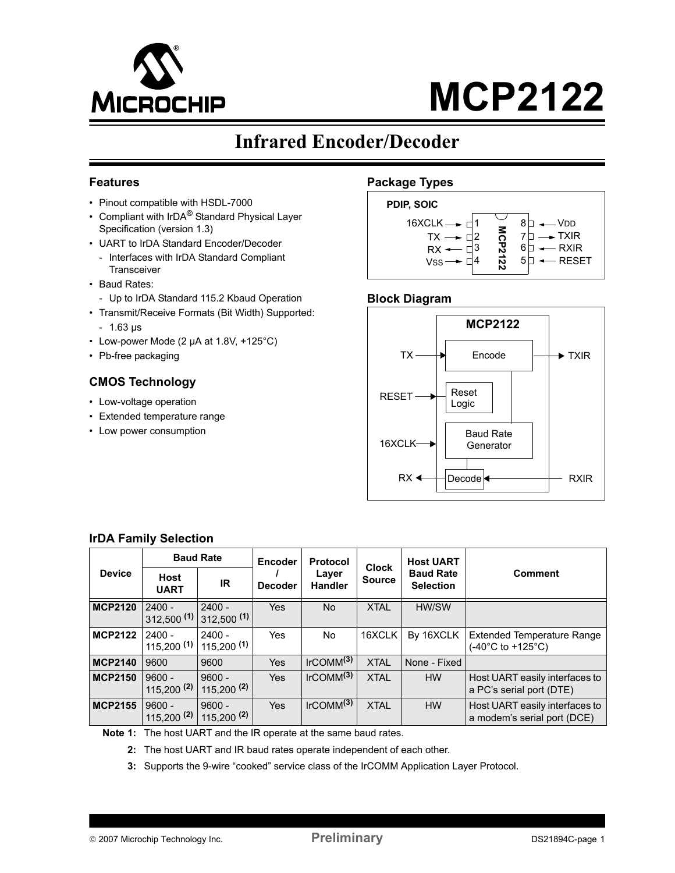

# **MCP2122**

# **Infrared Encoder/Decoder**

# **Features**

- Pinout compatible with HSDL-7000
- Compliant with IrDA<sup>®</sup> Standard Physical Layer Specification (version 1.3)
- UART to IrDA Standard Encoder/Decoder
	- Interfaces with IrDA Standard Compliant **Transceiver**
- Baud Rates:
- Up to IrDA Standard 115.2 Kbaud Operation
- Transmit/Receive Formats (Bit Width) Supported:
- $1.63 \,\mu s$
- Low-power Mode (2 µA at 1.8V, +125°C)
- Pb-free packaging

# **CMOS Technology**

- Low-voltage operation
- Extended temperature range
- Low power consumption

# **Package Types**



# **Block Diagram**



# **IrDA Family Selection**

|                |                                                                         | <b>Baud Rate</b>                     | <b>Encoder</b> | <b>Protocol</b>                      | <b>Clock</b>   | <b>Host UART</b> |                                                                             |
|----------------|-------------------------------------------------------------------------|--------------------------------------|----------------|--------------------------------------|----------------|------------------|-----------------------------------------------------------------------------|
| <b>Device</b>  | Layer<br>Host<br>IR.<br><b>Handler</b><br><b>Decoder</b><br><b>UART</b> |                                      | <b>Source</b>  | <b>Baud Rate</b><br><b>Selection</b> | <b>Comment</b> |                  |                                                                             |
| <b>MCP2120</b> | $2400 -$<br>$312,500$ (1)                                               | $2400 -$<br>$312,500$ (1)            | <b>Yes</b>     | <b>No</b>                            | <b>XTAL</b>    | HW/SW            |                                                                             |
| <b>MCP2122</b> | $2400 -$<br>$115,200$ (1)                                               | 2400 -<br>$115,200$ <sup>(1)</sup>   | Yes            | No.                                  | 16XCLK         | By 16XCLK        | <b>Extended Temperature Range</b><br>$(-40^{\circ}$ C to +125 $^{\circ}$ C) |
| <b>MCP2140</b> | 9600                                                                    | 9600                                 | <b>Yes</b>     | IrCOMM <sup>(3)</sup>                | <b>XTAL</b>    | None - Fixed     |                                                                             |
| <b>MCP2150</b> | $9600 -$<br>$115,200$ <sup>(2)</sup>                                    | $9600 -$<br>$115,200$ <sup>(2)</sup> | <b>Yes</b>     | IrCOMM <sup>(3)</sup>                | <b>XTAL</b>    | <b>HW</b>        | Host UART easily interfaces to<br>a PC's serial port (DTE)                  |
| <b>MCP2155</b> | $9600 -$<br>$115,200$ <sup>(2)</sup>                                    | $9600 -$<br>$115,200$ <sup>(2)</sup> | <b>Yes</b>     | IrCOMM <sup>(3)</sup>                | <b>XTAL</b>    | <b>HW</b>        | Host UART easily interfaces to<br>a modem's serial port (DCE)               |

**Note 1:** The host UART and the IR operate at the same baud rates.

**2:** The host UART and IR baud rates operate independent of each other.

**3:** Supports the 9-wire "cooked" service class of the IrCOMM Application Layer Protocol.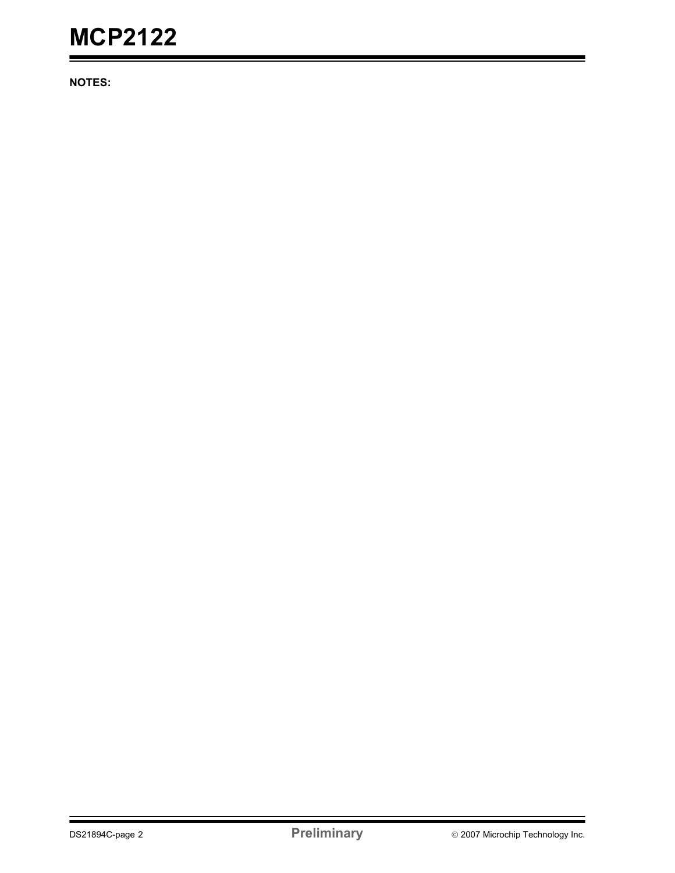**NOTES:**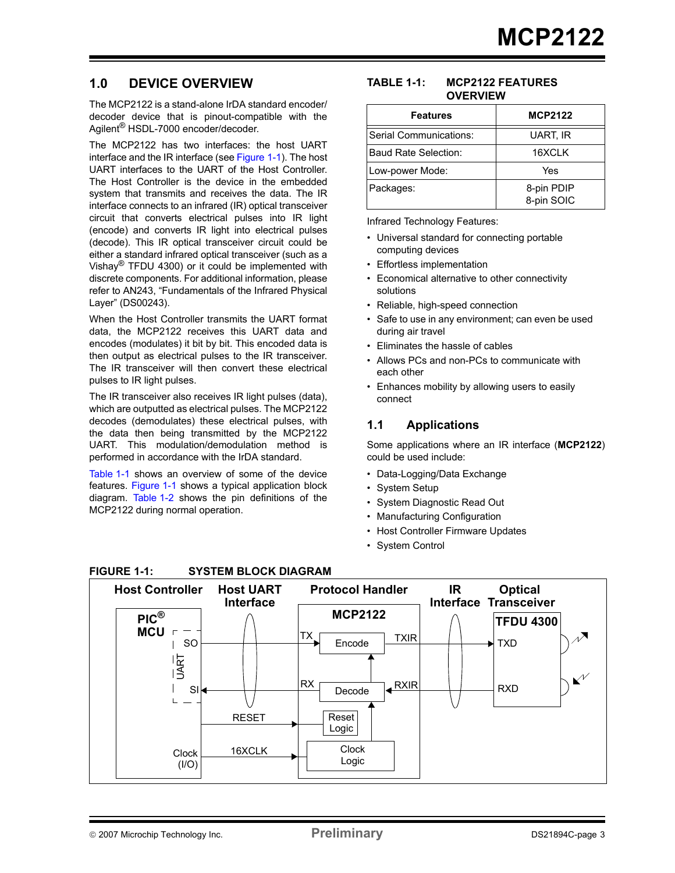# **1.0 DEVICE OVERVIEW**

The MCP2122 is a stand-alone IrDA standard encoder/ decoder device that is pinout-compatible with the Agilent® HSDL-7000 encoder/decoder.

The MCP2122 has two interfaces: the host UART interface and the IR interface (see [Figure 1-1](#page-2-0)). The host UART interfaces to the UART of the Host Controller. The Host Controller is the device in the embedded system that transmits and receives the data. The IR interface connects to an infrared (IR) optical transceiver circuit that converts electrical pulses into IR light (encode) and converts IR light into electrical pulses (decode). This IR optical transceiver circuit could be either a standard infrared optical transceiver (such as a Vishay $\mathbb{P}$  TFDU 4300) or it could be implemented with discrete components. For additional information, please refer to AN243, "Fundamentals of the Infrared Physical Layer" (DS00243).

When the Host Controller transmits the UART format data, the MCP2122 receives this UART data and encodes (modulates) it bit by bit. This encoded data is then output as electrical pulses to the IR transceiver. The IR transceiver will then convert these electrical pulses to IR light pulses.

The IR transceiver also receives IR light pulses (data), which are outputted as electrical pulses. The MCP2122 decodes (demodulates) these electrical pulses, with the data then being transmitted by the MCP2122 UART. This modulation/demodulation method is performed in accordance with the IrDA standard.

[Table 1-1](#page-2-1) shows an overview of some of the device features. [Figure 1-1](#page-2-0) shows a typical application block diagram. [Table 1-2](#page-3-0) shows the pin definitions of the MCP2122 during normal operation.

#### <span id="page-2-1"></span>**TABLE 1-1: MCP2122 FEATURES OVERVIEW**

| <b>Features</b>        | <b>MCP2122</b>           |  |  |
|------------------------|--------------------------|--|--|
| Serial Communications: | UART, IR                 |  |  |
| Baud Rate Selection:   | 16XCLK                   |  |  |
| Low-power Mode:        | Yes                      |  |  |
| Packages:              | 8-pin PDIP<br>8-pin SOIC |  |  |

Infrared Technology Features:

- Universal standard for connecting portable computing devices
- Effortless implementation
- Economical alternative to other connectivity solutions
- Reliable, high-speed connection
- Safe to use in any environment; can even be used during air travel
- Eliminates the hassle of cables
- Allows PCs and non-PCs to communicate with each other
- Enhances mobility by allowing users to easily connect

# **1.1 Applications**

Some applications where an IR interface (**MCP2122**) could be used include:

- Data-Logging/Data Exchange
- System Setup
- System Diagnostic Read Out
- Manufacturing Configuration
- Host Controller Firmware Updates
- System Control

<span id="page-2-0"></span>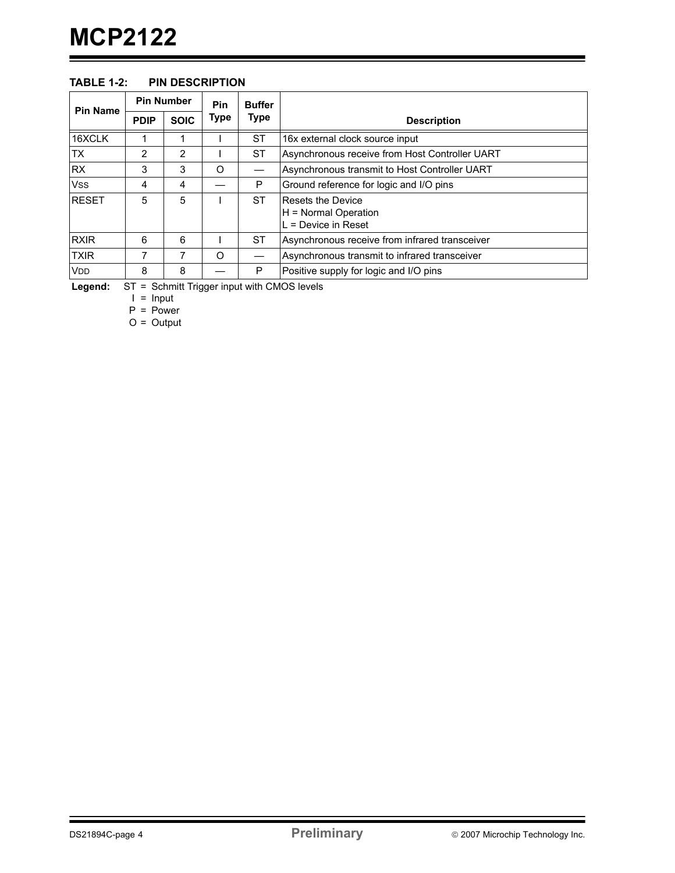# <span id="page-3-0"></span>**TABLE 1-2: PIN DESCRIPTION**

| <b>Pin Name</b>       |             | <b>Pin Number</b> | <b>Pin</b> | <b>Buffer</b> |                                                                           |
|-----------------------|-------------|-------------------|------------|---------------|---------------------------------------------------------------------------|
|                       | <b>PDIP</b> | <b>SOIC</b>       | Type       | <b>Type</b>   | <b>Description</b>                                                        |
| 16XCLK                |             | 1                 |            | <b>ST</b>     | 16x external clock source input                                           |
| <b>TX</b>             | 2           | 2                 |            | <b>ST</b>     | Asynchronous receive from Host Controller UART                            |
| <b>RX</b>             | 3           | 3                 | $\Omega$   |               | Asynchronous transmit to Host Controller UART                             |
| <b>VSS</b>            | 4           | 4                 |            | P             | Ground reference for logic and I/O pins                                   |
| <b>RESET</b>          | 5           | 5                 |            | <b>ST</b>     | <b>Resets the Device</b><br>H = Normal Operation<br>$L =$ Device in Reset |
| <b>RXIR</b>           | 6           | 6                 |            | ST            | Asynchronous receive from infrared transceiver                            |
| <b>TXIR</b>           | 7           | 7                 | $\Omega$   |               | Asynchronous transmit to infrared transceiver                             |
| <b>V<sub>DD</sub></b> | 8           | 8                 |            | P             | Positive supply for logic and I/O pins                                    |

**Legend:** ST = Schmitt Trigger input with CMOS levels

 $I = Input$ 

 $P = Power$ 

 $O =$  Output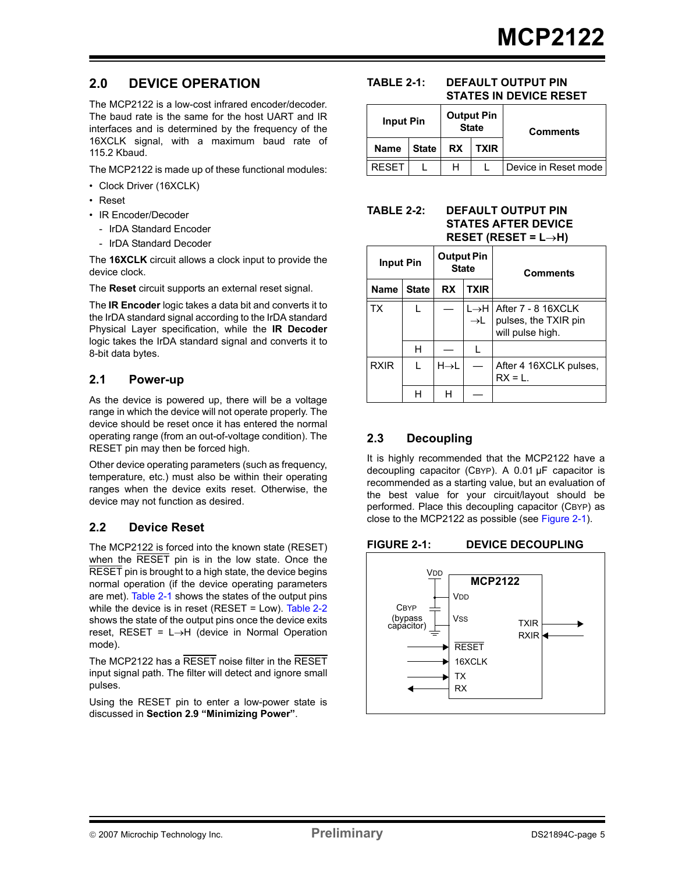# **2.0 DEVICE OPERATION**

The MCP2122 is a low-cost infrared encoder/decoder. The baud rate is the same for the host UART and IR interfaces and is determined by the frequency of the 16XCLK signal, with a maximum baud rate of 115.2 Kbaud.

The MCP2122 is made up of these functional modules:

- Clock Driver (16XCLK)
- Reset
- IR Encoder/Decoder
	- IrDA Standard Encoder
	- IrDA Standard Decoder

The **16XCLK** circuit allows a clock input to provide the device clock.

The **Reset** circuit supports an external reset signal.

The **IR Encoder** logic takes a data bit and converts it to the IrDA standard signal according to the IrDA standard Physical Layer specification, while the **IR Decoder** logic takes the IrDA standard signal and converts it to 8-bit data bytes.

# **2.1 Power-up**

As the device is powered up, there will be a voltage range in which the device will not operate properly. The device should be reset once it has entered the normal operating range (from an out-of-voltage condition). The RESET pin may then be forced high.

Other device operating parameters (such as frequency, temperature, etc.) must also be within their operating ranges when the device exits reset. Otherwise, the device may not function as desired.

# **2.2 Device Reset**

The MCP2122 is forced into the known state (RESET) when the RESET pin is in the low state. Once the RESET pin is brought to a high state, the device begins normal operation (if the device operating parameters are met). [Table 2-1](#page-4-0) shows the states of the output pins while the device is in reset (RESET = Low). [Table 2-2](#page-4-1) shows the state of the output pins once the device exits reset, RESET = L→H (device in Normal Operation mode).

The MCP2122 has a RESET noise filter in the RESET input signal path. The filter will detect and ignore small pulses.

Using the RESET pin to enter a low-power state is discussed in **[Section 2.9 "Minimizing Power"](#page-10-0)**.

## <span id="page-4-0"></span>**TABLE 2-1: DEFAULT OUTPUT PIN STATES IN DEVICE RESET**

| <b>Input Pin</b> |              |     | <b>Output Pin</b><br><b>State</b> | <b>Comments</b>        |  |
|------------------|--------------|-----|-----------------------------------|------------------------|--|
| <b>Name</b>      | <b>State</b> | RX. | TXIR                              |                        |  |
| RESET            |              | н   |                                   | Device in Reset mode I |  |

#### <span id="page-4-1"></span>**TABLE 2-2: DEFAULT OUTPUT PIN STATES AFTER DEVICE RESET (RESET = L**→**H)**

| <b>Input Pin</b> |              | <b>Output Pin</b><br><b>State</b> |             | <b>Comments</b>                                                      |  |  |
|------------------|--------------|-----------------------------------|-------------|----------------------------------------------------------------------|--|--|
| <b>Name</b>      | <b>State</b> | <b>RX</b>                         | <b>TXIR</b> |                                                                      |  |  |
| ТX               |              |                                   | →L          | L→H l After 7 - 8 16XCLK<br>pulses, the TXIR pin<br>will pulse high. |  |  |
|                  | н            |                                   |             |                                                                      |  |  |
| <b>RXIR</b>      |              | $H\rightarrow L$                  |             | After 4 16XCLK pulses,<br>$RX = 1$                                   |  |  |
|                  |              |                                   |             |                                                                      |  |  |

# **2.3 Decoupling**

It is highly recommended that the MCP2122 have a decoupling capacitor (CBYP). A 0.01 µF capacitor is recommended as a starting value, but an evaluation of the best value for your circuit/layout should be performed. Place this decoupling capacitor (CBYP) as close to the MCP2122 as possible (see [Figure 2-1](#page-4-2)).

# <span id="page-4-2"></span>**FIGURE 2-1: DEVICE DECOUPLING**

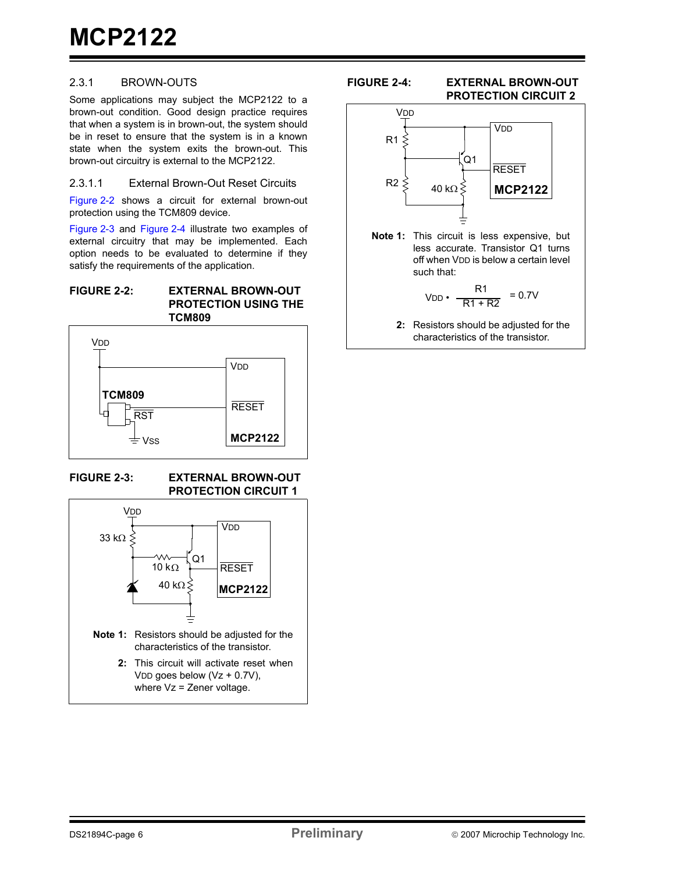# 2.3.1 BROWN-OUTS

Some applications may subject the MCP2122 to a brown-out condition. Good design practice requires that when a system is in brown-out, the system should be in reset to ensure that the system is in a known state when the system exits the brown-out. This brown-out circuitry is external to the MCP2122.

#### 2.3.1.1 External Brown-Out Reset Circuits

[Figure 2-2](#page-5-0) shows a circuit for external brown-out protection using the TCM809 device.

[Figure 2-3](#page-5-1) and [Figure 2-4](#page-5-2) illustrate two examples of external circuitry that may be implemented. Each option needs to be evaluated to determine if they satisfy the requirements of the application.

# <span id="page-5-0"></span>**FIGURE 2-2: EXTERNAL BROWN-OUT**

# **PROTECTION USING THE TCM809**



#### <span id="page-5-1"></span>**FIGURE 2-3: EXTERNAL BROWN-OUT PROTECTION CIRCUIT 1**



#### <span id="page-5-2"></span>**FIGURE 2-4: EXTERNAL BROWN-OUT PROTECTION CIRCUIT 2**



**Note 1:** This circuit is less expensive, but less accurate. Transistor Q1 turns off when VDD is below a certain level such that:

$$
VDD \cdot \frac{R1}{R1 + R2} = 0.7V
$$

**2:** Resistors should be adjusted for the characteristics of the transistor.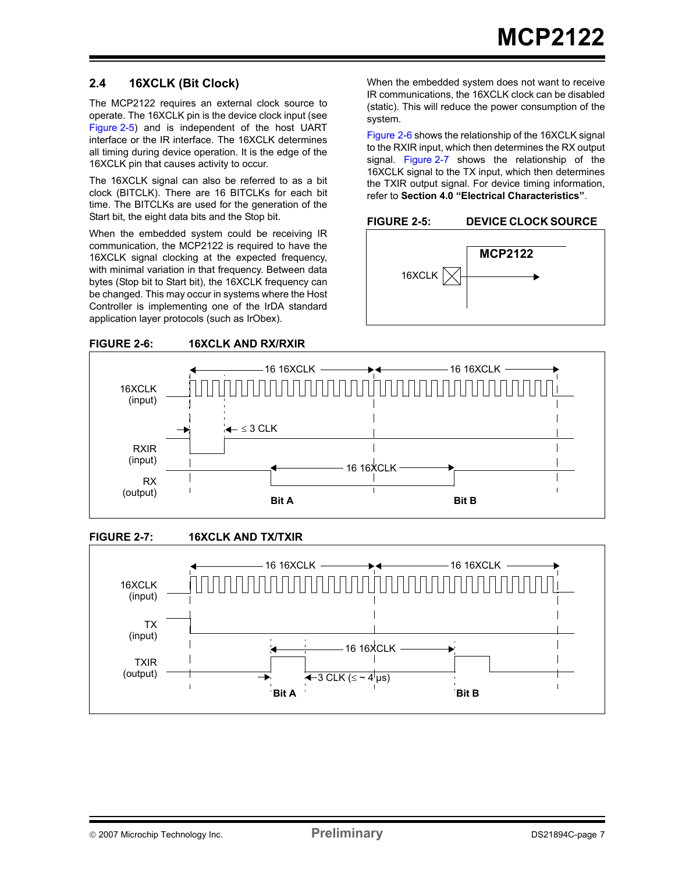# **2.4 16XCLK (Bit Clock)**

The MCP2122 requires an external clock source to operate. The 16XCLK pin is the device clock input (see [Figure 2-5\)](#page-6-0) and is independent of the host UART interface or the IR interface. The 16XCLK determines all timing during device operation. It is the edge of the 16XCLK pin that causes activity to occur.

The 16XCLK signal can also be referred to as a bit clock (BITCLK). There are 16 BITCLKs for each bit time. The BITCLKs are used for the generation of the Start bit, the eight data bits and the Stop bit.

When the embedded system could be receiving IR communication, the MCP2122 is required to have the 16XCLK signal clocking at the expected frequency, with minimal variation in that frequency. Between data bytes (Stop bit to Start bit), the 16XCLK frequency can be changed. This may occur in systems where the Host Controller is implementing one of the IrDA standard application layer protocols (such as IrObex).

<span id="page-6-1"></span>

When the embedded system does not want to receive IR communications, the 16XCLK clock can be disabled (static). This will reduce the power consumption of the system.

[Figure 2-6](#page-6-1) shows the relationship of the 16XCLK signal to the RXIR input, which then determines the RX output signal. [Figure 2-7](#page-6-2) shows the relationship of the 16XCLK signal to the TX input, which then determines the TXIR output signal. For device timing information, refer to **[Section 4.0 "Electrical Characteristics"](#page-14-0)**.

#### <span id="page-6-0"></span>**FIGURE 2-5: DEVICE CLOCK SOURCE**





<span id="page-6-2"></span>



© 2007 Microchip Technology Inc. **Preliminary** DS21894C-page 7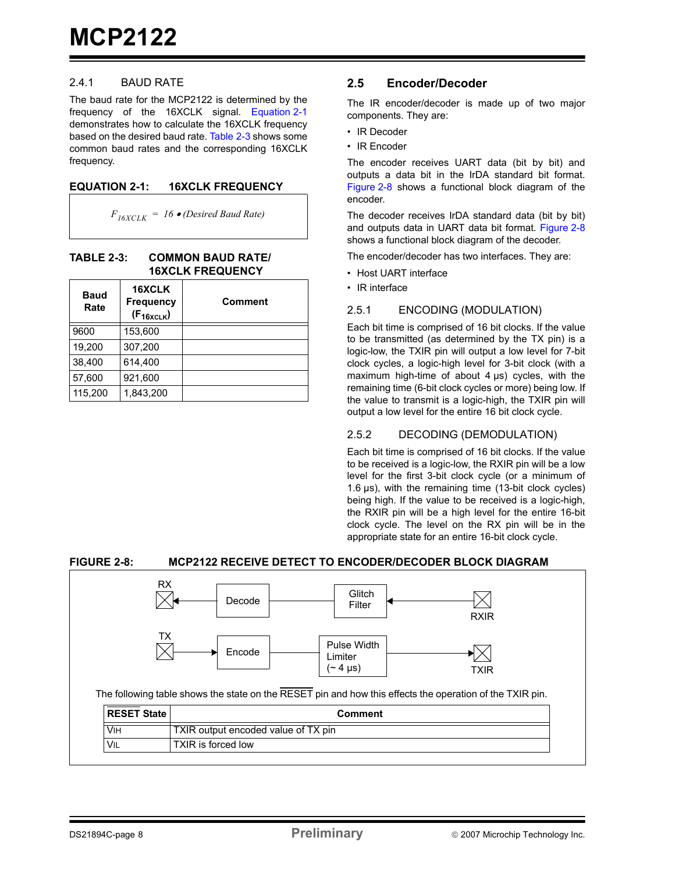#### 2.4.1 BAUD RATE

The baud rate for the MCP2122 is determined by the frequency of the 16XCLK signal. [Equation 2-1](#page-7-0) demonstrates how to calculate the 16XCLK frequency based on the desired baud rate. [Table 2-3](#page-7-1) shows some common baud rates and the corresponding 16XCLK frequency.

#### <span id="page-7-0"></span>**EQUATION 2-1: 16XCLK FREQUENCY**

```
F_{16XCLK} = 16 \bullet (Desired Baud Rate)
```
## <span id="page-7-1"></span>**TABLE 2-3: COMMON BAUD RATE/ 16XCLK FREQUENCY**

| <b>Baud</b><br>Rate | 16XCLK<br><b>Frequency</b><br>$(F_{16 \text{XCLK}})$ | Comment |
|---------------------|------------------------------------------------------|---------|
| 9600                | 153,600                                              |         |
| 19,200              | 307,200                                              |         |
| 38,400              | 614,400                                              |         |
| 57,600              | 921,600                                              |         |
| 115,200             | 1,843,200                                            |         |

# **2.5 Encoder/Decoder**

The IR encoder/decoder is made up of two major components. They are:

- IR Decoder
- IR Encoder

The encoder receives UART data (bit by bit) and outputs a data bit in the IrDA standard bit format. [Figure 2-8](#page-7-2) shows a functional block diagram of the encoder.

The decoder receives IrDA standard data (bit by bit) and outputs data in UART data bit format. [Figure 2-8](#page-7-2) shows a functional block diagram of the decoder.

The encoder/decoder has two interfaces. They are:

- Host UART interface
- IR interface

# 2.5.1 ENCODING (MODULATION)

Each bit time is comprised of 16 bit clocks. If the value to be transmitted (as determined by the TX pin) is a logic-low, the TXIR pin will output a low level for 7-bit clock cycles, a logic-high level for 3-bit clock (with a maximum high-time of about 4 µs) cycles, with the remaining time (6-bit clock cycles or more) being low. If the value to transmit is a logic-high, the TXIR pin will output a low level for the entire 16 bit clock cycle.

# 2.5.2 DECODING (DEMODULATION)

Each bit time is comprised of 16 bit clocks. If the value to be received is a logic-low, the RXIR pin will be a low level for the first 3-bit clock cycle (or a minimum of 1.6 µs), with the remaining time (13-bit clock cycles) being high. If the value to be received is a logic-high, the RXIR pin will be a high level for the entire 16-bit clock cycle. The level on the RX pin will be in the appropriate state for an entire 16-bit clock cycle.

# <span id="page-7-2"></span>**FIGURE 2-8: MCP2122 RECEIVE DETECT TO ENCODER/DECODER BLOCK DIAGRAM**

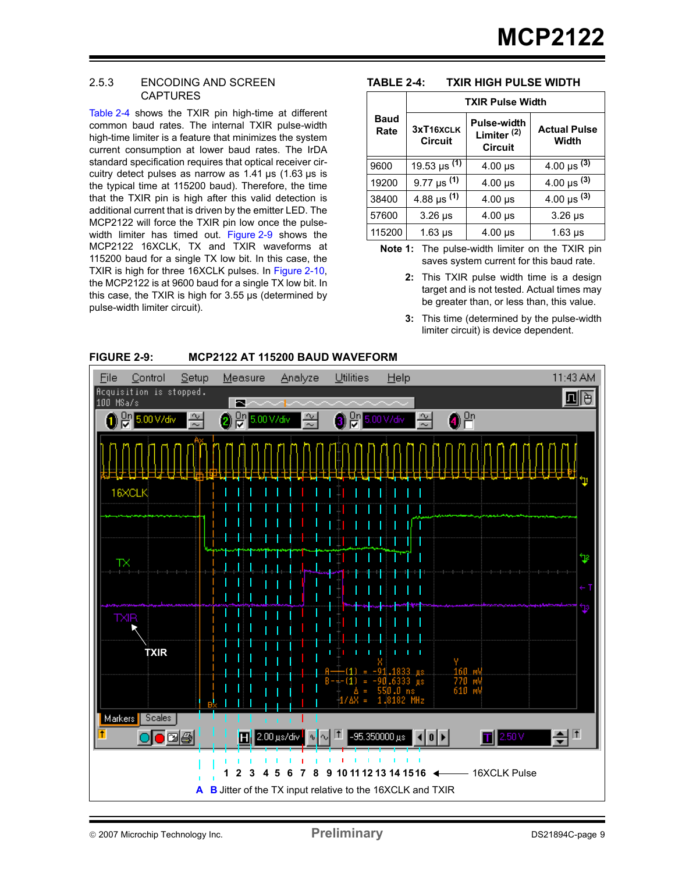#### 2.5.3 ENCODING AND SCREEN CAPTURES

[Table 2-4](#page-8-0) shows the TXIR pin high-time at different common baud rates. The internal TXIR pulse-width high-time limiter is a feature that minimizes the system current consumption at lower baud rates. The IrDA standard specification requires that optical receiver circuitry detect pulses as narrow as  $1.41 \,\mu s$  (1.63  $\mu s$  is the typical time at 115200 baud). Therefore, the time that the TXIR pin is high after this valid detection is additional current that is driven by the emitter LED. The MCP2122 will force the TXIR pin low once the pulse-width limiter has timed out. [Figure 2-9](#page-8-1) shows the MCP2122 16XCLK, TX and TXIR waveforms at 115200 baud for a single TX low bit. In this case, the TXIR is high for three 16XCLK pulses. In [Figure 2-10](#page-9-0), the MCP2122 is at 9600 baud for a single TX low bit. In this case, the TXIR is high for 3.55 µs (determined by pulse-width limiter circuit).

#### <span id="page-8-0"></span>**TABLE 2-4: TXIR HIGH PULSE WIDTH**

|                     | <b>TXIR Pulse Width</b>     |                                                         |                                           |  |  |  |  |  |
|---------------------|-----------------------------|---------------------------------------------------------|-------------------------------------------|--|--|--|--|--|
| <b>Baud</b><br>Rate | 3xT16XCLK<br><b>Circuit</b> | Pulse-width<br>Limiter <sup>(2)</sup><br><b>Circuit</b> | <b>Actual Pulse</b><br>Width              |  |  |  |  |  |
| 9600                | 19.53 µs $(1)$              | $4.00 \,\mu s$                                          | 4.00 µs $(3)$                             |  |  |  |  |  |
| 19200               | 9.77 $\mu$ s <sup>(1)</sup> | $4.00 \,\mu s$                                          | 4.00 $\mu s^{(3)}$                        |  |  |  |  |  |
| 38400               | 4.88 $\mu$ s (1)            | $4.00 \text{ }\mu\text{s}$                              | $4.00 \text{ }\mu\text{s}$ <sup>(3)</sup> |  |  |  |  |  |
| 57600               | $3.26 \,\mu s$              | $4.00 \text{ }\mu\text{s}$                              | $3.26 \,\mu s$                            |  |  |  |  |  |
| 115200              | $1.63 \,\mu s$              | $4.00 \text{ }\mu\text{s}$                              | $1.63 \,\mu s$                            |  |  |  |  |  |

**Note 1:** The pulse-width limiter on the TXIR pin saves system current for this baud rate.

> **2:** This TXIR pulse width time is a design target and is not tested. Actual times may be greater than, or less than, this value.

> **3:** This time (determined by the pulse-width limiter circuit) is device dependent.



# <span id="page-8-1"></span>**FIGURE 2-9: MCP2122 AT 115200 BAUD WAVEFORM**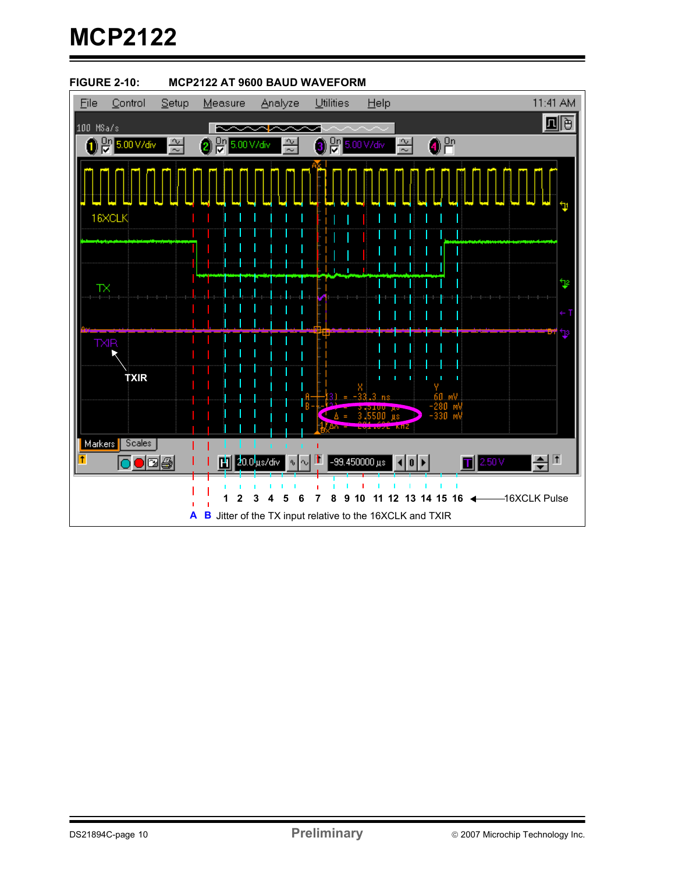<span id="page-9-0"></span>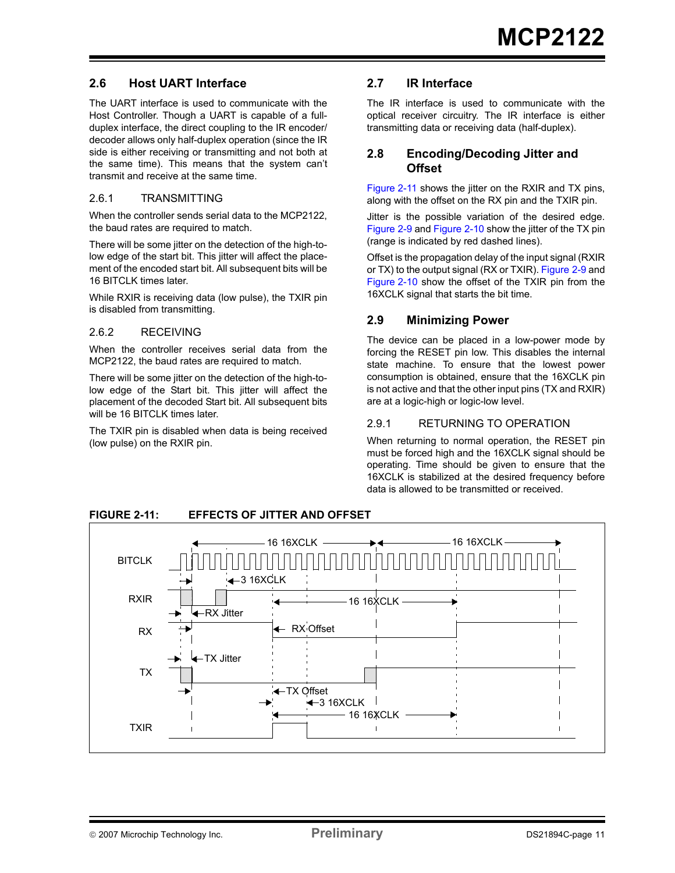# **2.6 Host UART Interface**

The UART interface is used to communicate with the Host Controller. Though a UART is capable of a fullduplex interface, the direct coupling to the IR encoder/ decoder allows only half-duplex operation (since the IR side is either receiving or transmitting and not both at the same time). This means that the system can't transmit and receive at the same time.

#### 2.6.1 TRANSMITTING

When the controller sends serial data to the MCP2122, the baud rates are required to match.

There will be some jitter on the detection of the high-tolow edge of the start bit. This jitter will affect the placement of the encoded start bit. All subsequent bits will be 16 BITCLK times later.

While RXIR is receiving data (low pulse), the TXIR pin is disabled from transmitting.

#### 2.6.2 RECEIVING

When the controller receives serial data from the MCP2122, the baud rates are required to match.

There will be some jitter on the detection of the high-tolow edge of the Start bit. This jitter will affect the placement of the decoded Start bit. All subsequent bits will be 16 BITCLK times later.

The TXIR pin is disabled when data is being received (low pulse) on the RXIR pin.

# **2.7 IR Interface**

The IR interface is used to communicate with the optical receiver circuitry. The IR interface is either transmitting data or receiving data (half-duplex).

# **2.8 Encoding/Decoding Jitter and Offset**

[Figure 2-11](#page-10-1) shows the jitter on the RXIR and TX pins, along with the offset on the RX pin and the TXIR pin.

Jitter is the possible variation of the desired edge. [Figure 2-9](#page-8-1) and [Figure 2-10](#page-9-0) show the jitter of the TX pin (range is indicated by red dashed lines).

Offset is the propagation delay of the input signal (RXIR or TX) to the output signal (RX or TXIR). [Figure 2-9](#page-8-1) and [Figure 2-10](#page-9-0) show the offset of the TXIR pin from the 16XCLK signal that starts the bit time.

# <span id="page-10-0"></span>**2.9 Minimizing Power**

The device can be placed in a low-power mode by forcing the RESET pin low. This disables the internal state machine. To ensure that the lowest power consumption is obtained, ensure that the 16XCLK pin is not active and that the other input pins (TX and RXIR) are at a logic-high or logic-low level.

# 2.9.1 RETURNING TO OPERATION

When returning to normal operation, the RESET pin must be forced high and the 16XCLK signal should be operating. Time should be given to ensure that the 16XCLK is stabilized at the desired frequency before data is allowed to be transmitted or received.

<span id="page-10-1"></span>

© 2007 Microchip Technology Inc. **Preliminary** DS21894C-page 11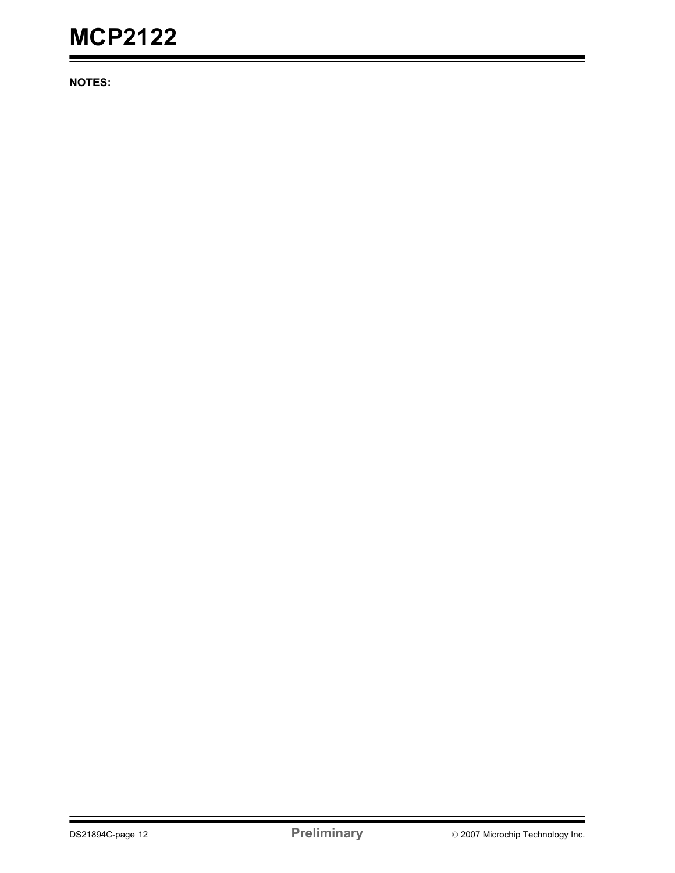**NOTES:**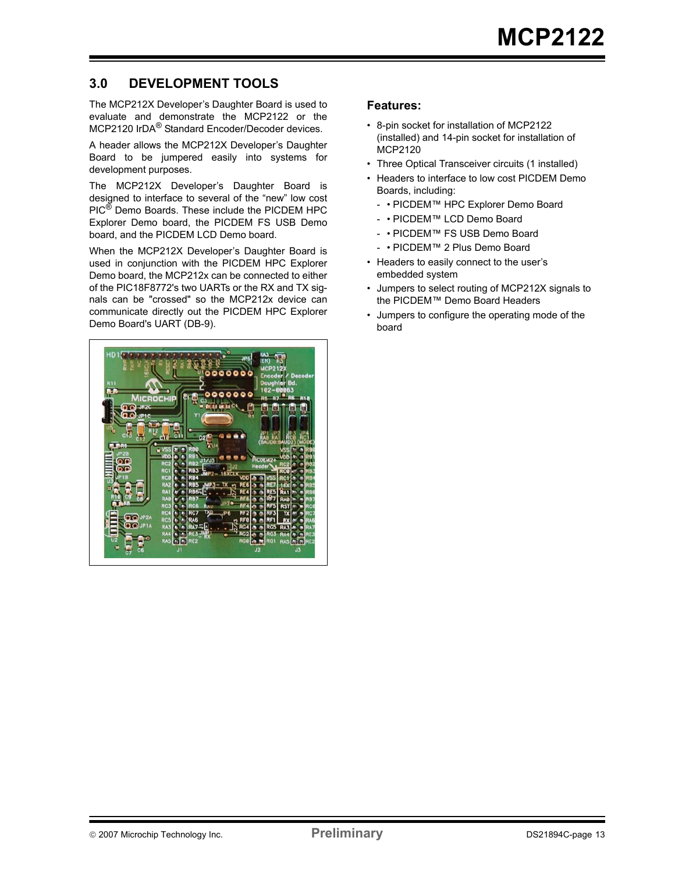# **3.0 DEVELOPMENT TOOLS**

The MCP212X Developer's Daughter Board is used to evaluate and demonstrate the MCP2122 or the MCP2120 IrDA<sup>®</sup> Standard Encoder/Decoder devices.

A header allows the MCP212X Developer's Daughter Board to be jumpered easily into systems for development purposes.

The MCP212X Developer's Daughter Board is designed to interface to several of the "new" low cost PIC<sup>®</sup> Demo Boards. These include the PICDEM HPC Explorer Demo board, the PICDEM FS USB Demo board, and the PICDEM LCD Demo board.

When the MCP212X Developer's Daughter Board is used in conjunction with the PICDEM HPC Explorer Demo board, the MCP212x can be connected to either of the PIC18F8772's two UARTs or the RX and TX signals can be "crossed" so the MCP212x device can communicate directly out the PICDEM HPC Explorer Demo Board's UART (DB-9).



# **Features:**

- 8-pin socket for installation of MCP2122 (installed) and 14-pin socket for installation of MCP2120
- Three Optical Transceiver circuits (1 installed)
- Headers to interface to low cost PICDEM Demo Boards, including:
	- • PICDEM™ HPC Explorer Demo Board
	- • PICDEM™ LCD Demo Board
	- • PICDEM™ FS USB Demo Board
	- • PICDEM™ 2 Plus Demo Board
- Headers to easily connect to the user's embedded system
- Jumpers to select routing of MCP212X signals to the PICDEM™ Demo Board Headers
- Jumpers to configure the operating mode of the board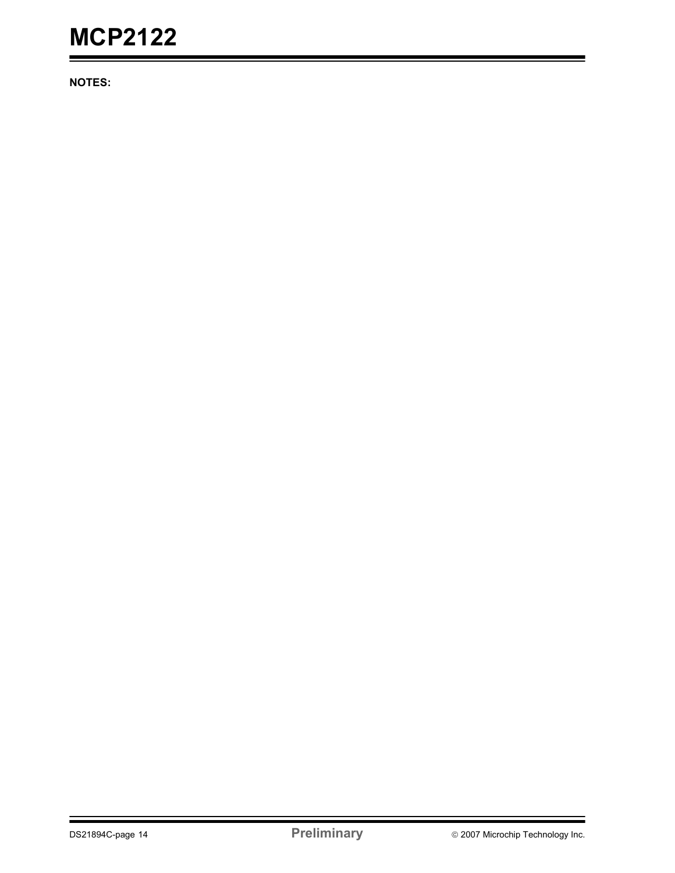**NOTES:**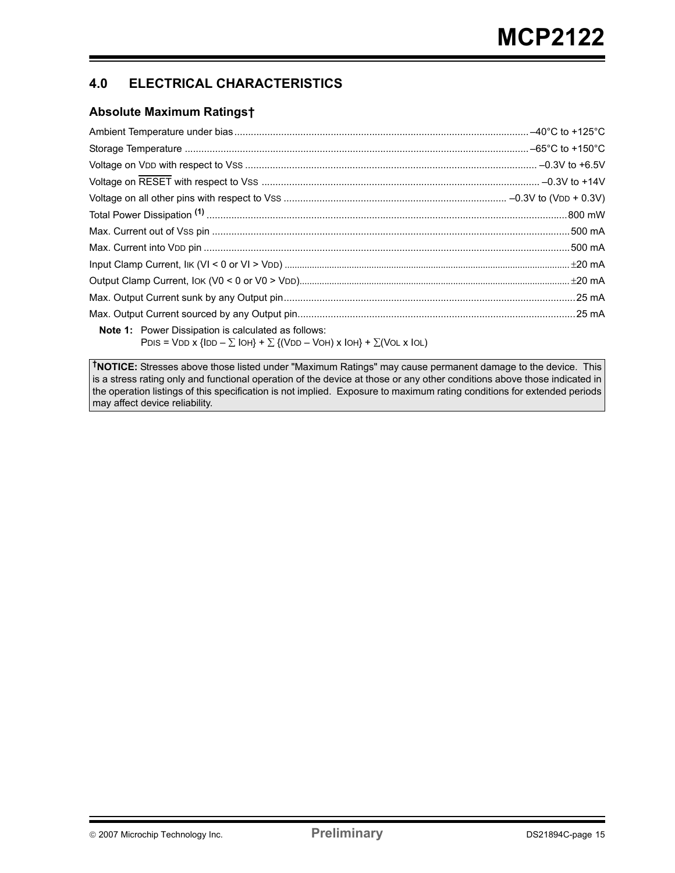# <span id="page-14-0"></span>**4.0 ELECTRICAL CHARACTERISTICS**

# **Absolute Maximum Ratings†**

| <b>Note 1:</b> Power Dissipation is calculated as follows:<br>PDIS = VDD x {IDD - $\Sigma$ IOH} + $\Sigma$ {(VDD - VOH) x IOH} + $\Sigma$ (VOL x IOL) |  |
|-------------------------------------------------------------------------------------------------------------------------------------------------------|--|

**†NOTICE:** Stresses above those listed under "Maximum Ratings" may cause permanent damage to the device. This is a stress rating only and functional operation of the device at those or any other conditions above those indicated in the operation listings of this specification is not implied. Exposure to maximum rating conditions for extended periods may affect device reliability.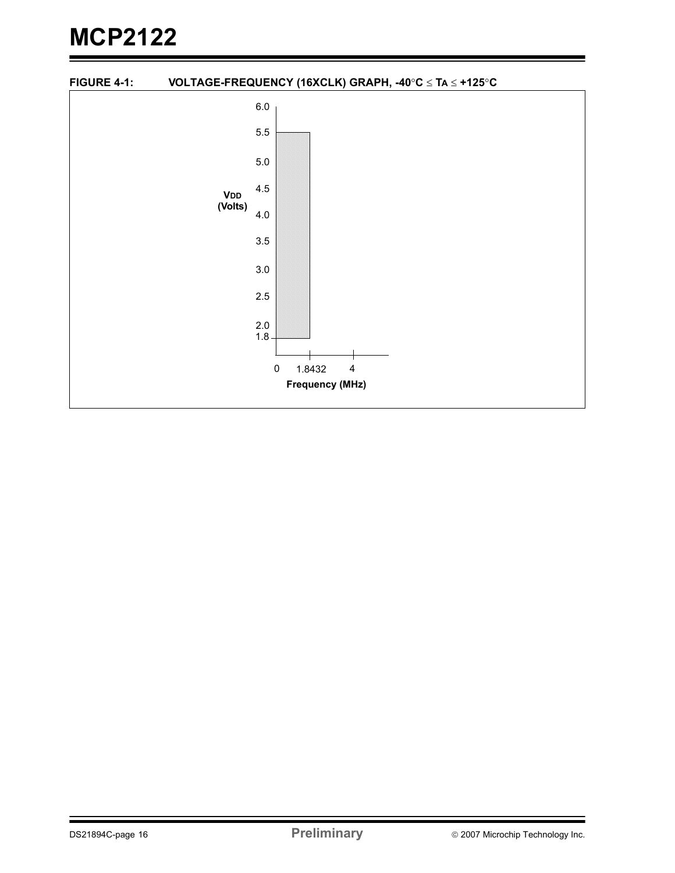<span id="page-15-0"></span>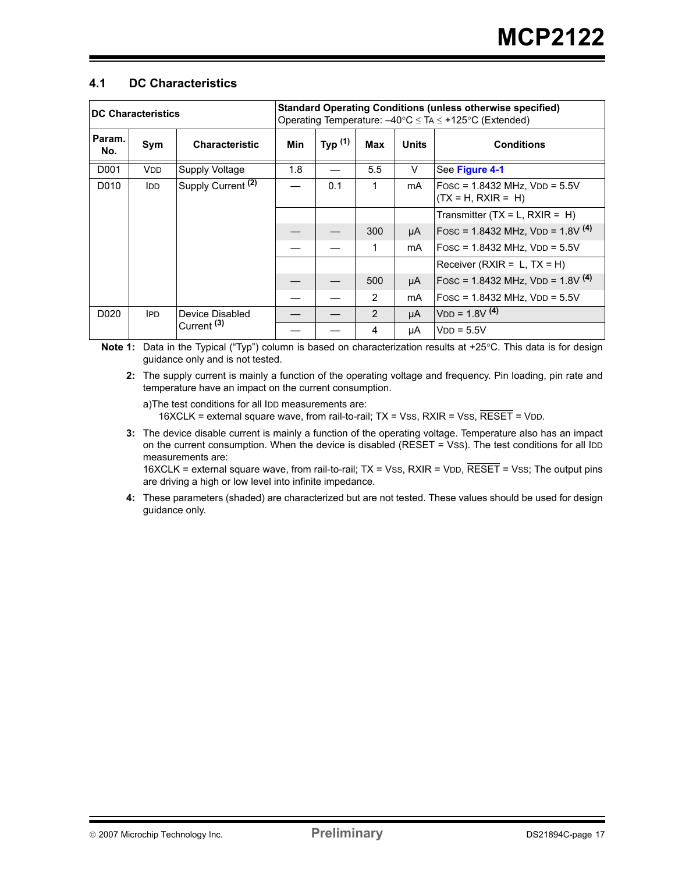# <span id="page-16-0"></span>**4.1 DC Characteristics**

| <b>DC Characteristics</b> |             |                               | <b>Standard Operating Conditions (unless otherwise specified)</b><br>Operating Temperature: $-40^{\circ}$ C $\leq$ TA $\leq$ +125°C (Extended) |           |                |              |                                                                    |
|---------------------------|-------------|-------------------------------|------------------------------------------------------------------------------------------------------------------------------------------------|-----------|----------------|--------------|--------------------------------------------------------------------|
| Param.<br>No.             | Sym         | <b>Characteristic</b>         | Min                                                                                                                                            | Typ $(1)$ | Max            | <b>Units</b> | <b>Conditions</b>                                                  |
| D001                      | <b>VDD</b>  | Supply Voltage                | 1.8                                                                                                                                            |           | 5.5            | V            | See Figure 4-1                                                     |
| D010                      | <b>I</b> DD | Supply Current <sup>(2)</sup> |                                                                                                                                                | 0.1       | 1              | mA           | $Fosc = 1.8432 \text{ MHz}$ , $VDD = 5.5V$<br>$(TX = H, RXIR = H)$ |
|                           |             |                               |                                                                                                                                                |           |                |              | Transmitter $(TX = L, RXIR = H)$                                   |
|                           |             |                               |                                                                                                                                                |           | 300            | μA           | Fosc = 1.8432 MHz, $VDD = 1.8V$ <sup>(4)</sup>                     |
|                           |             |                               |                                                                                                                                                |           | 1              | mA           | $Fosc = 1.8432 MHz$ , $VDD = 5.5V$                                 |
|                           |             |                               |                                                                                                                                                |           |                |              | $Receiver (RXIR = L, TX = H)$                                      |
|                           |             |                               |                                                                                                                                                |           | 500            | μA           | Fosc = 1.8432 MHz, $VDD = 1.8V$ <sup>(4)</sup>                     |
|                           |             |                               |                                                                                                                                                |           | $\overline{2}$ | mA           | $Fosc = 1.8432 \text{ MHz}$ , $VDD = 5.5V$                         |
| D <sub>0</sub> 20         | IPD.        | Device Disabled               |                                                                                                                                                |           | $\overline{2}$ | μA           | $VDD = 1.8V(4)$                                                    |
|                           |             | Current <sup>(3)</sup>        |                                                                                                                                                |           | 4              | μA           | $VDD = 5.5V$                                                       |

**Note 1:** Data in the Typical ("Typ") column is based on characterization results at +25°C. This data is for design guidance only and is not tested.

**2:** The supply current is mainly a function of the operating voltage and frequency. Pin loading, pin rate and temperature have an impact on the current consumption.

a)The test conditions for all IDD measurements are: 16XCLK = external square wave, from rail-to-rail;  $TX = Vss$ ,  $RXIR = Vss$ ,  $RESET = VDD$ .

**3:** The device disable current is mainly a function of the operating voltage. Temperature also has an impact on the current consumption. When the device is disabled (RESET = Vss). The test conditions for all IDD measurements are:

16XCLK = external square wave, from rail-to-rail;  $TX = Vss$ ,  $RXIR = VDD$ ,  $RESET = Vss$ ; The output pins are driving a high or low level into infinite impedance.

**4:** These parameters (shaded) are characterized but are not tested. These values should be used for design guidance only.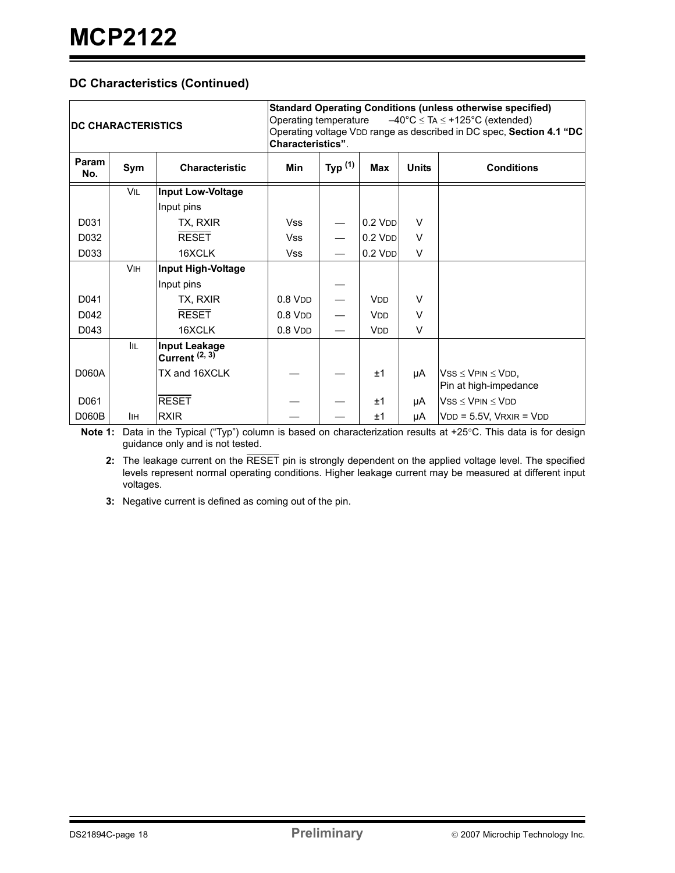# **DC Characteristics (Continued)**

| <b>DC CHARACTERISTICS</b> |            |                                                   | <b>Standard Operating Conditions (unless otherwise specified)</b><br>$-40^{\circ}$ C $\leq$ TA $\leq$ +125°C (extended)<br>Operating temperature<br>Operating voltage VDD range as described in DC spec, Section 4.1 "DC<br>Characteristics". |           |                       |              |                                                     |  |
|---------------------------|------------|---------------------------------------------------|-----------------------------------------------------------------------------------------------------------------------------------------------------------------------------------------------------------------------------------------------|-----------|-----------------------|--------------|-----------------------------------------------------|--|
| Param<br>No.              | Sym        | <b>Characteristic</b>                             | Min                                                                                                                                                                                                                                           | Typ $(1)$ | Max                   | <b>Units</b> | <b>Conditions</b>                                   |  |
|                           | <b>VIL</b> | Input Low-Voltage                                 |                                                                                                                                                                                                                                               |           |                       |              |                                                     |  |
|                           |            | Input pins                                        |                                                                                                                                                                                                                                               |           |                       |              |                                                     |  |
| D031                      |            | TX, RXIR                                          | <b>Vss</b>                                                                                                                                                                                                                                    |           | $0.2$ V <sub>DD</sub> | V            |                                                     |  |
| D032                      |            | <b>RESET</b>                                      | <b>Vss</b>                                                                                                                                                                                                                                    |           | $0.2$ V <sub>DD</sub> | $\vee$       |                                                     |  |
| D033                      |            | 16XCLK                                            | <b>Vss</b>                                                                                                                                                                                                                                    |           | $0.2$ V <sub>DD</sub> | $\vee$       |                                                     |  |
|                           | <b>VIH</b> | Input High-Voltage                                |                                                                                                                                                                                                                                               |           |                       |              |                                                     |  |
|                           |            | Input pins                                        |                                                                                                                                                                                                                                               |           |                       |              |                                                     |  |
| D041                      |            | TX, RXIR                                          | $0.8$ V <sub>D</sub> $D$                                                                                                                                                                                                                      |           | <b>V<sub>DD</sub></b> | V            |                                                     |  |
| D042                      |            | <b>RESET</b>                                      | $0.8$ V <sub>DD</sub>                                                                                                                                                                                                                         |           | <b>V<sub>DD</sub></b> | $\vee$       |                                                     |  |
| D043                      |            | 16XCLK                                            | $0.8$ V <sub>D</sub> $D$                                                                                                                                                                                                                      |           | <b>V<sub>DD</sub></b> | V            |                                                     |  |
|                           | IIL.       | <b>Input Leakage</b><br>Current <sup>(2, 3)</sup> |                                                                                                                                                                                                                                               |           |                       |              |                                                     |  |
| <b>D060A</b>              |            | TX and 16XCLK                                     |                                                                                                                                                                                                                                               |           | ±1                    | μA           | $VSS \leq VPIN \leq VDD$ ,<br>Pin at high-impedance |  |
| D061                      |            | <b>RESET</b>                                      |                                                                                                                                                                                                                                               |           | ±1                    | μA           | $VSS \leq VPIN \leq VDD$                            |  |
| <b>D060B</b>              | lін        | <b>RXIR</b>                                       |                                                                                                                                                                                                                                               |           | ±1                    | μA           | $VDD = 5.5V$ , $VRXIR = VDD$                        |  |

**Note 1:** Data in the Typical ("Typ") column is based on characterization results at +25°C. This data is for design guidance only and is not tested.

**2:** The leakage current on the RESET pin is strongly dependent on the applied voltage level. The specified levels represent normal operating conditions. Higher leakage current may be measured at different input voltages.

**3:** Negative current is defined as coming out of the pin.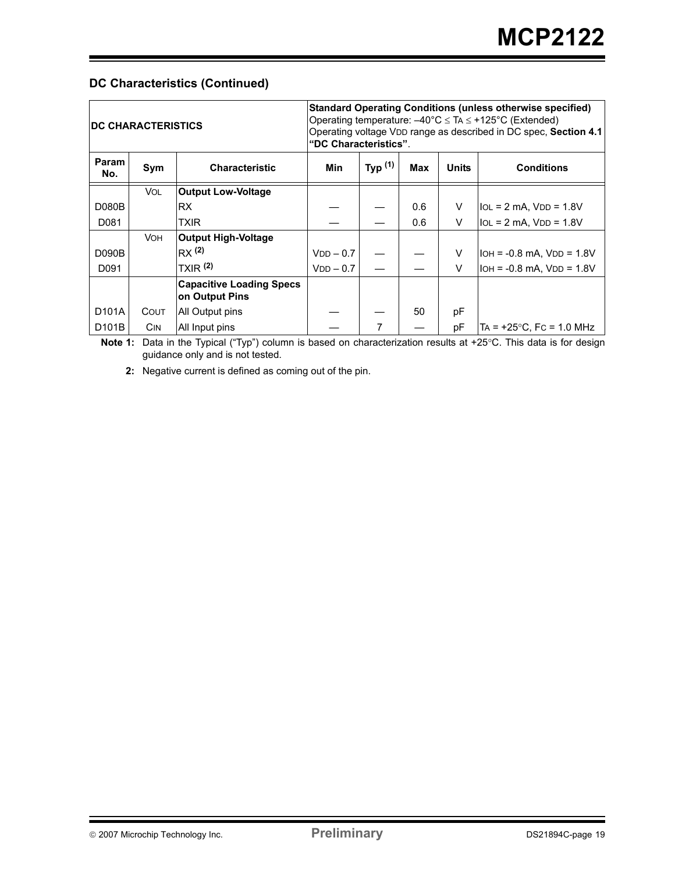# **DC Characteristics (Continued)**

| <b>DC CHARACTERISTICS</b> |            |                                                   | <b>Standard Operating Conditions (unless otherwise specified)</b><br>Operating temperature: $-40^{\circ}$ C $\leq$ TA $\leq$ +125°C (Extended)<br>Operating voltage VDD range as described in DC spec, Section 4.1<br>"DC Characteristics". |           |     |              |                                    |
|---------------------------|------------|---------------------------------------------------|---------------------------------------------------------------------------------------------------------------------------------------------------------------------------------------------------------------------------------------------|-----------|-----|--------------|------------------------------------|
| Param<br>No.              | Sym        | <b>Characteristic</b>                             | Min                                                                                                                                                                                                                                         | Typ $(1)$ | Max | <b>Units</b> | <b>Conditions</b>                  |
|                           | <b>VOL</b> | <b>Output Low-Voltage</b>                         |                                                                                                                                                                                                                                             |           |     |              |                                    |
| <b>D080B</b>              |            | RX.                                               |                                                                                                                                                                                                                                             |           | 0.6 | V            | $ IOL = 2 mA, VDD = 1.8V$          |
| D081                      |            | TXIR.                                             |                                                                                                                                                                                                                                             |           | 0.6 | V            | $ IOL = 2 mA, VDD = 1.8V$          |
|                           | VOH.       | <b>Output High-Voltage</b>                        |                                                                                                                                                                                                                                             |           |     |              |                                    |
| <b>D090B</b>              |            | $RX^{(2)}$                                        | $VDD - 0.7$                                                                                                                                                                                                                                 |           |     | V            | $ $ IOH = -0.8 mA, $V$ DD = 1.8V   |
| D <sub>091</sub>          |            | TXIR <sup>(2)</sup>                               | $VDD - 0.7$                                                                                                                                                                                                                                 |           |     | V            | $ $ IOH = -0.8 mA, $V$ DD = 1.8V   |
|                           |            | <b>Capacitive Loading Specs</b><br>on Output Pins |                                                                                                                                                                                                                                             |           |     |              |                                    |
| D101A                     | COUT       | All Output pins                                   |                                                                                                                                                                                                                                             |           | 50  | рF           |                                    |
| D <sub>101</sub> B        | <b>CIN</b> | All Input pins                                    |                                                                                                                                                                                                                                             | 7         |     | рF           | TA = $+25^{\circ}$ C, Fc = 1.0 MHz |

**Note 1:** Data in the Typical ("Typ") column is based on characterization results at +25°C. This data is for design guidance only and is not tested.

**2:** Negative current is defined as coming out of the pin.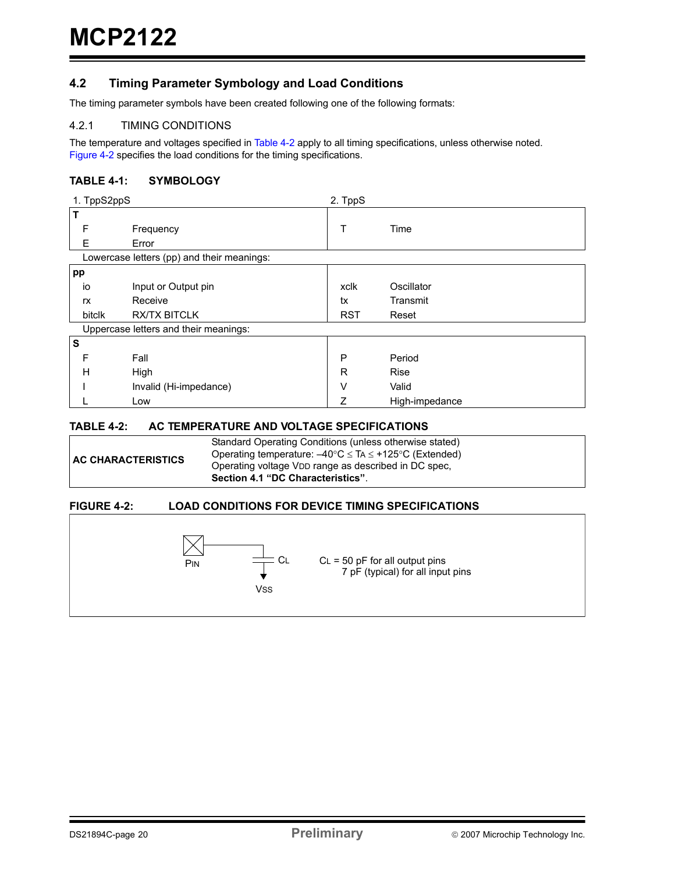# **4.2 Timing Parameter Symbology and Load Conditions**

The timing parameter symbols have been created following one of the following formats:

#### 4.2.1 TIMING CONDITIONS

The temperature and voltages specified in [Table 4-2](#page-19-0) apply to all timing specifications, unless otherwise noted. [Figure 4-2](#page-19-1) specifies the load conditions for the timing specifications.

# **TABLE 4-1: SYMBOLOGY**

| 1. TppS2ppS  |                                            | 2. TppS    |                |
|--------------|--------------------------------------------|------------|----------------|
| T            |                                            |            |                |
| F            | Frequency                                  | Т          | Time           |
| Ε            | Error                                      |            |                |
|              | Lowercase letters (pp) and their meanings: |            |                |
| pp           |                                            |            |                |
| ÌО           | Input or Output pin                        | xclk       | Oscillator     |
| rx           | Receive                                    | tx         | Transmit       |
| bitclk       | <b>RX/TX BITCLK</b>                        | <b>RST</b> | Reset          |
|              | Uppercase letters and their meanings:      |            |                |
| $\mathbf{s}$ |                                            |            |                |
| F            | Fall                                       | P          | Period         |
| H            | High                                       | R          | <b>Rise</b>    |
|              | Invalid (Hi-impedance)                     | $\vee$     | Valid          |
|              | Low                                        | Ζ          | High-impedance |

#### <span id="page-19-0"></span>**TABLE 4-2: AC TEMPERATURE AND VOLTAGE SPECIFICATIONS**

| AC CHARACTERISTICS | Standard Operating Conditions (unless otherwise stated)<br>Operating temperature: $-40^{\circ}$ C $\leq$ TA $\leq$ +125°C (Extended)<br>Operating voltage VDD range as described in DC spec.<br>Section 4.1 "DC Characteristics". |
|--------------------|-----------------------------------------------------------------------------------------------------------------------------------------------------------------------------------------------------------------------------------|
|--------------------|-----------------------------------------------------------------------------------------------------------------------------------------------------------------------------------------------------------------------------------|

#### <span id="page-19-1"></span>**FIGURE 4-2: LOAD CONDITIONS FOR DEVICE TIMING SPECIFICATIONS**

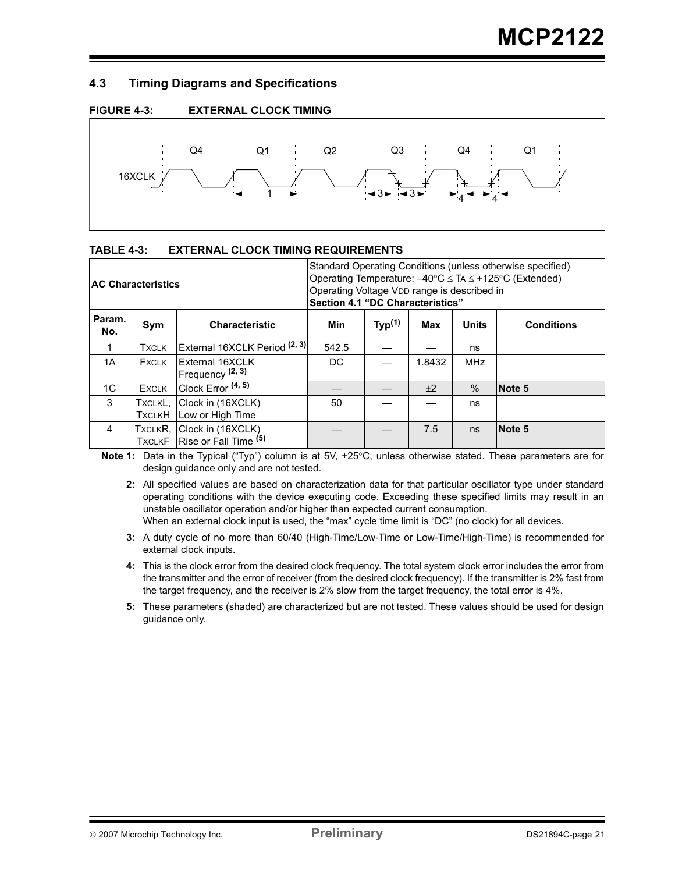# **4.3 Timing Diagrams and Specifications**



# **TABLE 4-3: EXTERNAL CLOCK TIMING REQUIREMENTS**

|                | <b>AC Characteristics</b> |                                                           | Standard Operating Conditions (unless otherwise specified)<br>Operating Temperature: $-40^{\circ}$ C $\leq$ TA $\leq$ +125°C (Extended)<br>Operating Voltage VDD range is described in<br>Section 4.1 "DC Characteristics" |                    |        |               |                   |
|----------------|---------------------------|-----------------------------------------------------------|----------------------------------------------------------------------------------------------------------------------------------------------------------------------------------------------------------------------------|--------------------|--------|---------------|-------------------|
| Param.<br>No.  | Sym                       | <b>Characteristic</b>                                     | Min                                                                                                                                                                                                                        | Typ <sup>(1)</sup> | Max    | <b>Units</b>  | <b>Conditions</b> |
|                | <b>TXCLK</b>              | External 16XCLK Period <sup>(2, 3)</sup>                  | 542.5                                                                                                                                                                                                                      |                    |        | ns            |                   |
| 1A             | <b>FXCLK</b>              | <b>External 16XCLK</b><br>Frequency <sup>(2, 3)</sup>     | DC                                                                                                                                                                                                                         |                    | 1.8432 | <b>MHz</b>    |                   |
| 1 <sup>C</sup> | <b>EXCLK</b>              | Clock Error (4, 5)                                        |                                                                                                                                                                                                                            |                    | ±2     | $\frac{0}{0}$ | Note 5            |
| 3              | TXCLKL,<br>TxclkH         | Clock in (16XCLK)<br>Low or High Time                     | 50                                                                                                                                                                                                                         |                    |        | ns            |                   |
| 4              |                           | TXCLKR, Clock in (16XCLK)<br>TXCLKF Rise or Fall Time (5) |                                                                                                                                                                                                                            |                    | 7.5    | ns            | Note 5            |

<span id="page-20-1"></span>**Note 1:** Data in the Typical ("Typ") column is at 5V, +25°C, unless otherwise stated. These parameters are for design guidance only and are not tested.

- **2:** All specified values are based on characterization data for that particular oscillator type under standard operating conditions with the device executing code. Exceeding these specified limits may result in an unstable oscillator operation and/or higher than expected current consumption.
	- When an external clock input is used, the "max" cycle time limit is "DC" (no clock) for all devices.
- **3:** A duty cycle of no more than 60/40 (High-Time/Low-Time or Low-Time/High-Time) is recommended for external clock inputs.
- **4:** This is the clock error from the desired clock frequency. The total system clock error includes the error from the transmitter and the error of receiver (from the desired clock frequency). If the transmitter is 2% fast from the target frequency, and the receiver is 2% slow from the target frequency, the total error is 4%.
- <span id="page-20-0"></span>**5:** These parameters (shaded) are characterized but are not tested. These values should be used for design guidance only.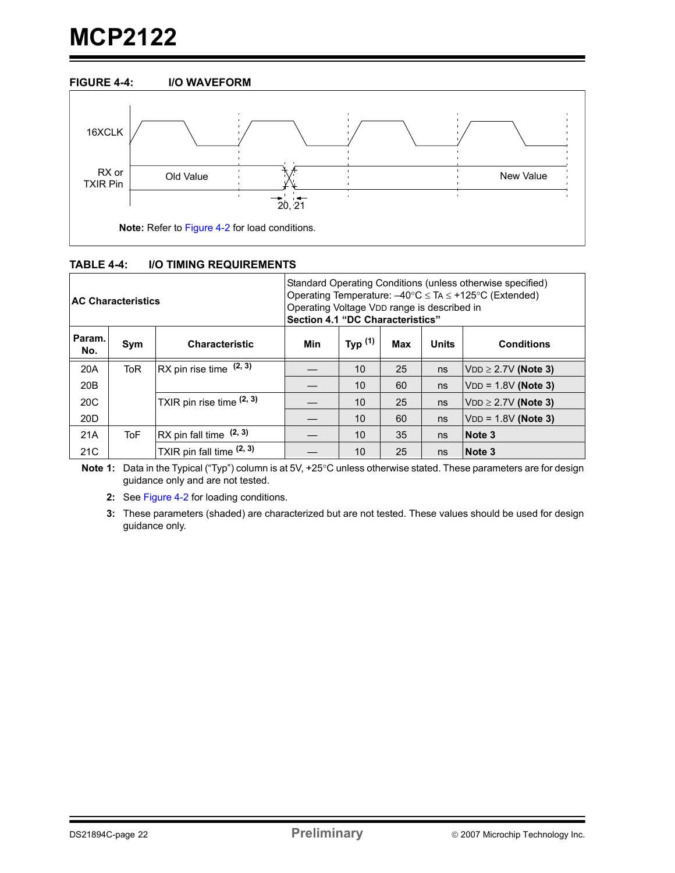

| <b>TABLE 4-4:</b> | <b>I/O TIMING REQUIREMENTS</b> |
|-------------------|--------------------------------|
|                   |                                |

|                 | <b>AC Characteristics</b> |                             | Standard Operating Conditions (unless otherwise specified)<br>Operating Temperature: $-40^{\circ}$ C $\leq$ TA $\leq$ +125°C (Extended)<br>Operating Voltage VDD range is described in<br>Section 4.1 "DC Characteristics" |              |            |              |                          |
|-----------------|---------------------------|-----------------------------|----------------------------------------------------------------------------------------------------------------------------------------------------------------------------------------------------------------------------|--------------|------------|--------------|--------------------------|
| Param.<br>No.   | Sym                       | <b>Characteristic</b>       | Min                                                                                                                                                                                                                        | Typ $^{(1)}$ | <b>Max</b> | <b>Units</b> | <b>Conditions</b>        |
| 20A             | <b>ToR</b>                | IRX pin rise time (2, 3)    |                                                                                                                                                                                                                            | 10           | 25         | ns           | $VDD \geq 2.7V$ (Note 3) |
| 20B             |                           |                             |                                                                                                                                                                                                                            | 10           | 60         | ns           | $VDD = 1.8V$ (Note 3)    |
| 20C             |                           | TXIR pin rise time (2, 3)   |                                                                                                                                                                                                                            | 10           | 25         | ns           | $VDD \geq 2.7V$ (Note 3) |
| 20 <sub>D</sub> |                           |                             |                                                                                                                                                                                                                            | 10           | 60         | ns           | $VDD = 1.8V$ (Note 3)    |
| 21A             | <b>ToF</b>                | $RX$ pin fall time $(2, 3)$ |                                                                                                                                                                                                                            | 10           | 35         | ns           | <b>Note 3</b>            |
| 21 <sub>C</sub> |                           | TXIR pin fall time (2, 3)   |                                                                                                                                                                                                                            | 10           | 25         | ns           | Note 3                   |

**Note 1:** Data in the Typical ("Typ") column is at 5V, +25°C unless otherwise stated. These parameters are for design guidance only and are not tested.

**2:** See [Figure 4-2](#page-19-1) for loading conditions.

<span id="page-21-0"></span>**3:** These parameters (shaded) are characterized but are not tested. These values should be used for design guidance only.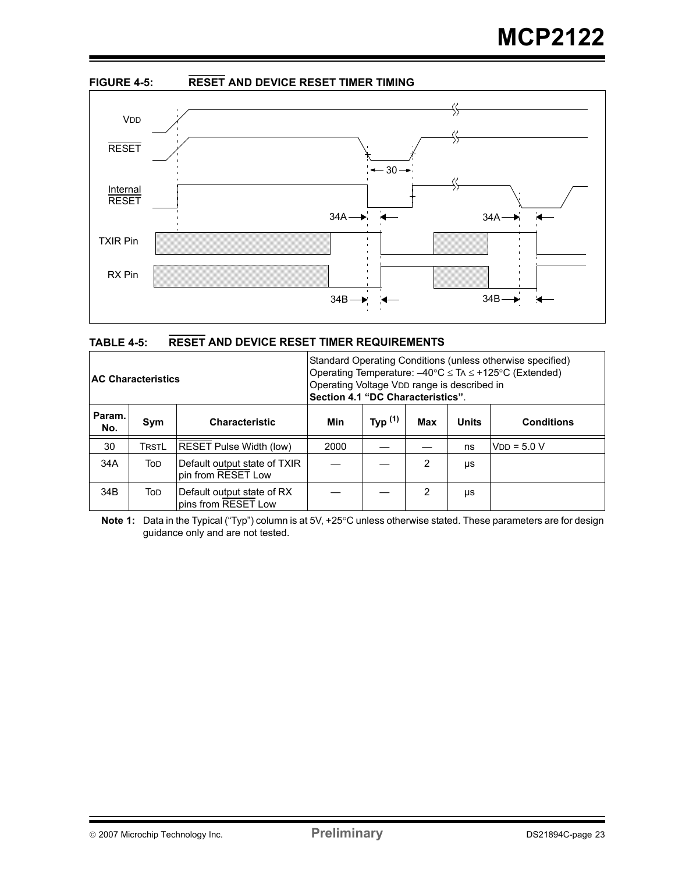

# **TABLE 4-5: RESET AND DEVICE RESET TIMER REQUIREMENTS**

|               | <b>AC Characteristics</b> |                                                    | Standard Operating Conditions (unless otherwise specified)<br>Operating Temperature: $-40^{\circ}$ C $\leq$ TA $\leq$ +125°C (Extended)<br>Operating Voltage VDD range is described in<br>Section 4.1 "DC Characteristics". |                    |     |              |                   |
|---------------|---------------------------|----------------------------------------------------|-----------------------------------------------------------------------------------------------------------------------------------------------------------------------------------------------------------------------------|--------------------|-----|--------------|-------------------|
| Param.<br>No. | Sym                       | <b>Characteristic</b>                              | Min                                                                                                                                                                                                                         | Typ <sup>(1)</sup> | Max | <b>Units</b> | <b>Conditions</b> |
| 30            | TrstL                     | <b>RESET Pulse Width (low)</b>                     | 2000                                                                                                                                                                                                                        |                    |     | ns           | $VDD = 5.0 V$     |
| 34A           | Tod                       | Default output state of TXIR<br>pin from RESET Low |                                                                                                                                                                                                                             |                    | 2   | μs           |                   |
| 34B           | Tod                       | Default output state of RX<br>pins from RESET Low  |                                                                                                                                                                                                                             |                    | 2   | μs           |                   |

**Note 1:** Data in the Typical ("Typ") column is at 5V, +25°C unless otherwise stated. These parameters are for design guidance only and are not tested.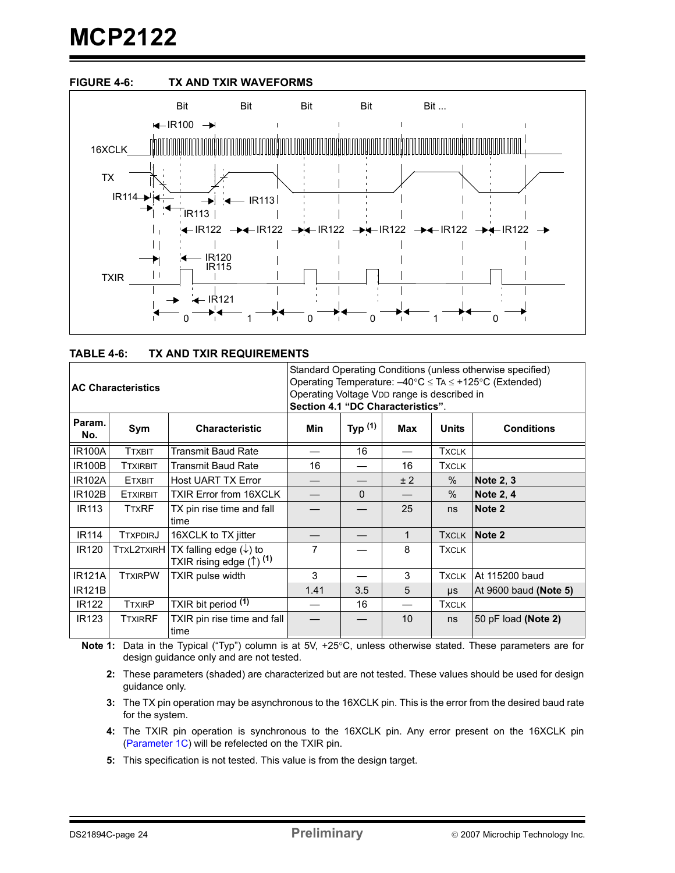## **FIGURE 4-6: TX AND TXIR WAVEFORMS**



|  | TABLE 4-6: | TX AND TXIR REQUIREMENTS |
|--|------------|--------------------------|
|--|------------|--------------------------|

|               | <b>AC Characteristics</b> |                                                                            | Standard Operating Conditions (unless otherwise specified)<br>Operating Temperature: $-40^{\circ}$ C $\leq$ TA $\leq$ +125°C (Extended)<br>Operating Voltage VDD range is described in<br>Section 4.1 "DC Characteristics". |           |     |              |                       |
|---------------|---------------------------|----------------------------------------------------------------------------|-----------------------------------------------------------------------------------------------------------------------------------------------------------------------------------------------------------------------------|-----------|-----|--------------|-----------------------|
| Param.<br>No. | Sym                       | <b>Characteristic</b>                                                      | Min                                                                                                                                                                                                                         | Typ $(1)$ | Max | <b>Units</b> | <b>Conditions</b>     |
| <b>IR100A</b> | <b>TTXBIT</b>             | <b>Transmit Baud Rate</b>                                                  |                                                                                                                                                                                                                             | 16        |     | <b>TXCLK</b> |                       |
| <b>IR100B</b> | <b>TTXIRBIT</b>           | <b>Transmit Baud Rate</b>                                                  | 16                                                                                                                                                                                                                          |           | 16  | <b>TXCLK</b> |                       |
| <b>IR102A</b> | <b>ETXBIT</b>             | <b>Host UART TX Error</b>                                                  |                                                                                                                                                                                                                             |           | ±2  | $\%$         | <b>Note 2, 3</b>      |
| <b>IR102B</b> | <b>ETXIRBIT</b>           | <b>TXIR Error from 16XCLK</b>                                              |                                                                                                                                                                                                                             | $\Omega$  |     | $\%$         | Note 2, 4             |
| <b>IR113</b>  | <b>TTXRF</b>              | TX pin rise time and fall<br>time                                          |                                                                                                                                                                                                                             |           | 25  | ns           | Note 2                |
| <b>IR114</b>  | <b>TTXPDIRJ</b>           | 16XCLK to TX jitter                                                        |                                                                                                                                                                                                                             |           | 1   | <b>TXCLK</b> | Note 2                |
| <b>IR120</b>  |                           | TTXL2TXIRH TX falling edge $(\downarrow)$ to<br>TXIR rising edge $(1)$ (1) | $\overline{7}$                                                                                                                                                                                                              |           | 8   | <b>TXCLK</b> |                       |
| <b>IR121A</b> | <b>TTXIRPW</b>            | <b>TXIR pulse width</b>                                                    | 3                                                                                                                                                                                                                           |           | 3   | <b>TXCLK</b> | At 115200 baud        |
| <b>IR121B</b> |                           |                                                                            | 1.41                                                                                                                                                                                                                        | 3.5       | 5   | μs           | At 9600 baud (Note 5) |
| <b>IR122</b>  | <b>TTXIRP</b>             | TXIR bit period (1)                                                        |                                                                                                                                                                                                                             | 16        |     | <b>TXCLK</b> |                       |
| <b>IR123</b>  | <b>TTXIRRF</b>            | TXIR pin rise time and fall<br>time                                        |                                                                                                                                                                                                                             |           | 10  | ns           | 50 pF load (Note 2)   |

<span id="page-23-0"></span>**Note 1:** Data in the Typical ("Typ") column is at 5V, +25°C, unless otherwise stated. These parameters are for design guidance only and are not tested.

**2:** These parameters (shaded) are characterized but are not tested. These values should be used for design guidance only.

<span id="page-23-1"></span>**3:** The TX pin operation may be asynchronous to the 16XCLK pin. This is the error from the desired baud rate for the system.

- <span id="page-23-2"></span>**4:** The TXIR pin operation is synchronous to the 16XCLK pin. Any error present on the 16XCLK pin ([Parameter 1C\)](#page-20-1) will be refelected on the TXIR pin.
- <span id="page-23-3"></span>**5:** This specification is not tested. This value is from the design target.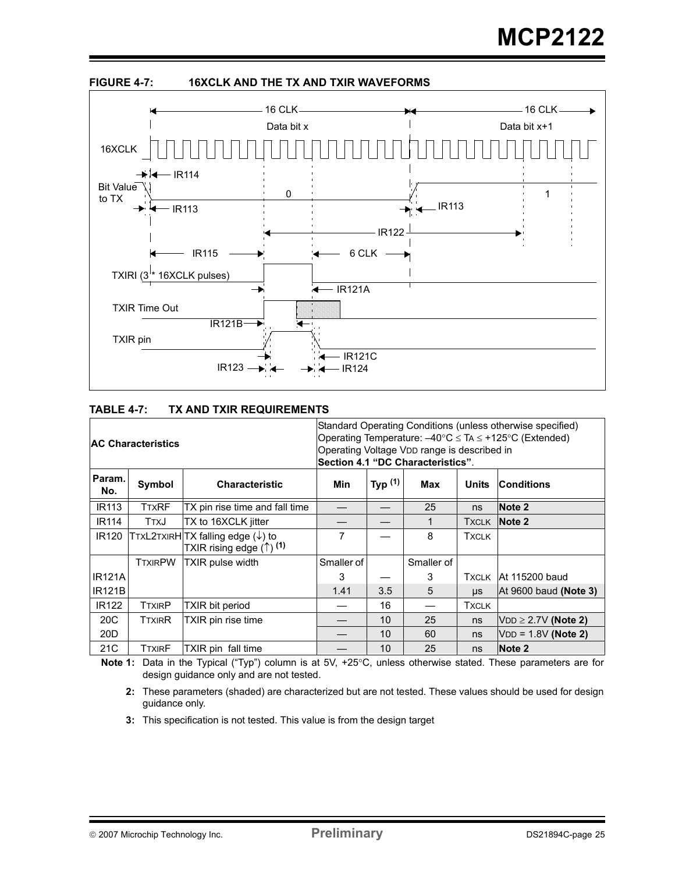



| <b>TABLE 4-7:</b> | TX AND TXIR REQUIREMENTS |
|-------------------|--------------------------|
|                   |                          |

|                 | <b>IAC Characteristics</b> |                                                                                         | Standard Operating Conditions (unless otherwise specified)<br>Operating Temperature: $-40^{\circ}$ C $\leq$ TA $\leq$ +125°C (Extended)<br>Operating Voltage VDD range is described in<br>Section 4.1 "DC Characteristics". |           |            |              |                          |
|-----------------|----------------------------|-----------------------------------------------------------------------------------------|-----------------------------------------------------------------------------------------------------------------------------------------------------------------------------------------------------------------------------|-----------|------------|--------------|--------------------------|
| Param.<br>No.   | Symbol                     | <b>Characteristic</b>                                                                   | Min                                                                                                                                                                                                                         | Typ $(1)$ | Max        | Units        | <b>Conditions</b>        |
| <b>IR113</b>    | <b>TTXRF</b>               | TX pin rise time and fall time                                                          |                                                                                                                                                                                                                             |           | 25         | ns           | Note 2                   |
| <b>IR114</b>    | <b>TTXJ</b>                | TX to 16XCLK jitter                                                                     |                                                                                                                                                                                                                             |           | 1          | <b>TXCLK</b> | Note 2                   |
| <b>IR120</b>    |                            | TTXL2TXIRH TX falling edge (↓) to<br>TXIR rising edge $($ <sup>1</sup> ) <sup>(1)</sup> | 7                                                                                                                                                                                                                           |           | 8          | <b>TXCLK</b> |                          |
|                 | <b>TTXIRPW</b>             | <b>TXIR pulse width</b>                                                                 | Smaller of                                                                                                                                                                                                                  |           | Smaller of |              |                          |
| <b>IR121A</b>   |                            |                                                                                         | 3                                                                                                                                                                                                                           |           | 3          | <b>TXCLK</b> | At 115200 baud           |
| <b>IR121B</b>   |                            |                                                                                         | 1.41                                                                                                                                                                                                                        | 3.5       | 5          | $\mu s$      | At 9600 baud (Note 3)    |
| <b>IR122</b>    | <b>TTXIRP</b>              | TXIR bit period                                                                         |                                                                                                                                                                                                                             | 16        |            | <b>TXCLK</b> |                          |
| 20 <sub>C</sub> | <b>TTXIRR</b>              | TXIR pin rise time                                                                      |                                                                                                                                                                                                                             | 10        | 25         | ns           | $VDD \geq 2.7V$ (Note 2) |
| 20 <sub>D</sub> |                            |                                                                                         |                                                                                                                                                                                                                             | 10        | 60         | ns           | $VDD = 1.8V$ (Note 2)    |
| 21C             | <b>TTXIRF</b>              | TXIR pin fall time                                                                      |                                                                                                                                                                                                                             | 10        | 25         | ns           | Note 2                   |

<span id="page-24-0"></span>**Note 1:** Data in the Typical ("Typ") column is at 5V, +25°C, unless otherwise stated. These parameters are for design guidance only and are not tested.

**2:** These parameters (shaded) are characterized but are not tested. These values should be used for design guidance only.

<span id="page-24-1"></span>**3:** This specification is not tested. This value is from the design target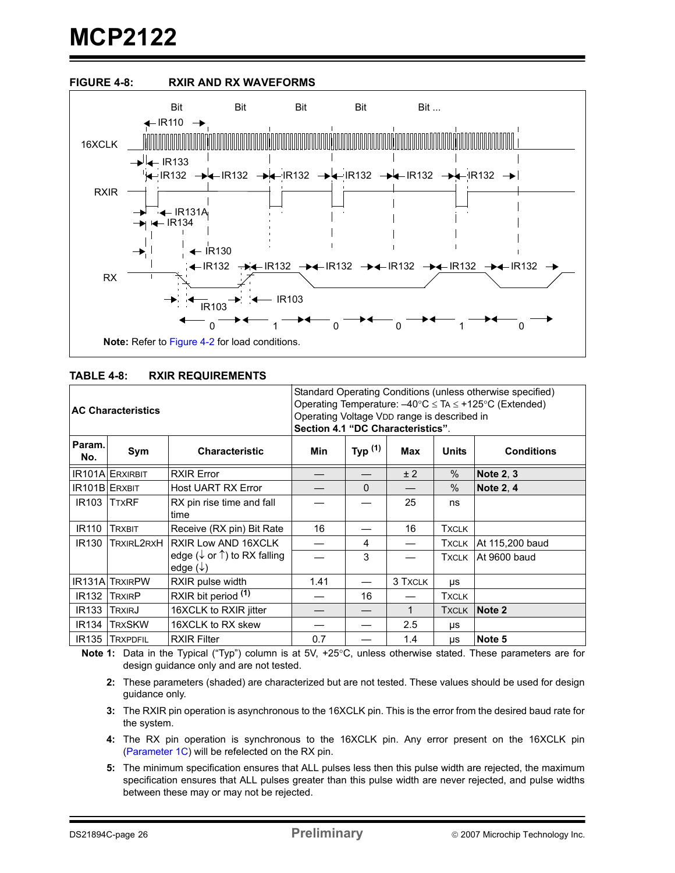



|  | <b>TABLE 4-8:</b> | <b>RXIR REQUIREMENTS</b> |
|--|-------------------|--------------------------|
|--|-------------------|--------------------------|

|                      | <b>AC Characteristics</b> |                                                                          | Standard Operating Conditions (unless otherwise specified)<br>Operating Temperature: $-40^{\circ}$ C $\leq$ TA $\leq$ +125°C (Extended)<br>Operating Voltage VDD range is described in<br>Section 4.1 "DC Characteristics". |           |         |              |                     |
|----------------------|---------------------------|--------------------------------------------------------------------------|-----------------------------------------------------------------------------------------------------------------------------------------------------------------------------------------------------------------------------|-----------|---------|--------------|---------------------|
| Param.<br>No.        | Sym                       | <b>Characteristic</b>                                                    | Min                                                                                                                                                                                                                         | Typ $(1)$ | Max     | <b>Units</b> | <b>Conditions</b>   |
|                      | <b>IR101A ERXIRBIT</b>    | <b>RXIR Error</b>                                                        |                                                                                                                                                                                                                             |           | ±2      | $\%$         | <b>Note 2, 3</b>    |
| <b>IR101BIERXBIT</b> |                           | <b>Host UART RX Error</b>                                                |                                                                                                                                                                                                                             | $\Omega$  |         | $\%$         | <b>Note 2, 4</b>    |
|                      | IR103 ITTXRF              | RX pin rise time and fall<br>time                                        |                                                                                                                                                                                                                             |           | 25      | ns           |                     |
| <b>IR110</b>         | TRXBIT                    | Receive (RX pin) Bit Rate                                                | 16                                                                                                                                                                                                                          |           | 16      | <b>TXCLK</b> |                     |
| <b>IR130</b>         | TRXIRL2RXH                | <b>RXIR Low AND 16XCLK</b>                                               |                                                                                                                                                                                                                             | 4         |         | <b>TXCLK</b> | At 115,200 baud     |
|                      |                           | edge ( $\downarrow$ or $\uparrow$ ) to RX falling<br>edge $(\downarrow)$ |                                                                                                                                                                                                                             | 3         |         | <b>TXCLK</b> | At 9600 baud        |
|                      | <b>IR131A TRXIRPW</b>     | RXIR pulse width                                                         | 1.41                                                                                                                                                                                                                        |           | 3 TXCLK | μs           |                     |
| <b>IR132</b>         | <b>TRXIRP</b>             | RXIR bit period (1)                                                      |                                                                                                                                                                                                                             | 16        |         | <b>TXCLK</b> |                     |
| <b>IR133</b>         | TRXIRJ                    | 16XCLK to RXIR jitter                                                    |                                                                                                                                                                                                                             |           | 1       |              | <b>TXCLK Note 2</b> |
| <b>IR134</b>         | <b>TRXSKW</b>             | 16XCLK to RX skew                                                        |                                                                                                                                                                                                                             |           | 2.5     | μs           |                     |
| <b>IR135</b>         | <b>TRXPDFIL</b>           | <b>RXIR Filter</b>                                                       | 0.7                                                                                                                                                                                                                         |           | 1.4     | μs           | Note 5              |

<span id="page-25-0"></span>**Note 1:** Data in the Typical ("Typ") column is at 5V, +25°C, unless otherwise stated. These parameters are for design guidance only and are not tested.

- **2:** These parameters (shaded) are characterized but are not tested. These values should be used for design guidance only.
- <span id="page-25-1"></span>**3:** The RXIR pin operation is asynchronous to the 16XCLK pin. This is the error from the desired baud rate for the system.
- <span id="page-25-2"></span>**4:** The RX pin operation is synchronous to the 16XCLK pin. Any error present on the 16XCLK pin ([Parameter 1C\)](#page-20-1) will be refelected on the RX pin.
- <span id="page-25-3"></span>**5:** The minimum specification ensures that ALL pulses less then this pulse width are rejected, the maximum specification ensures that ALL pulses greater than this pulse width are never rejected, and pulse widths between these may or may not be rejected.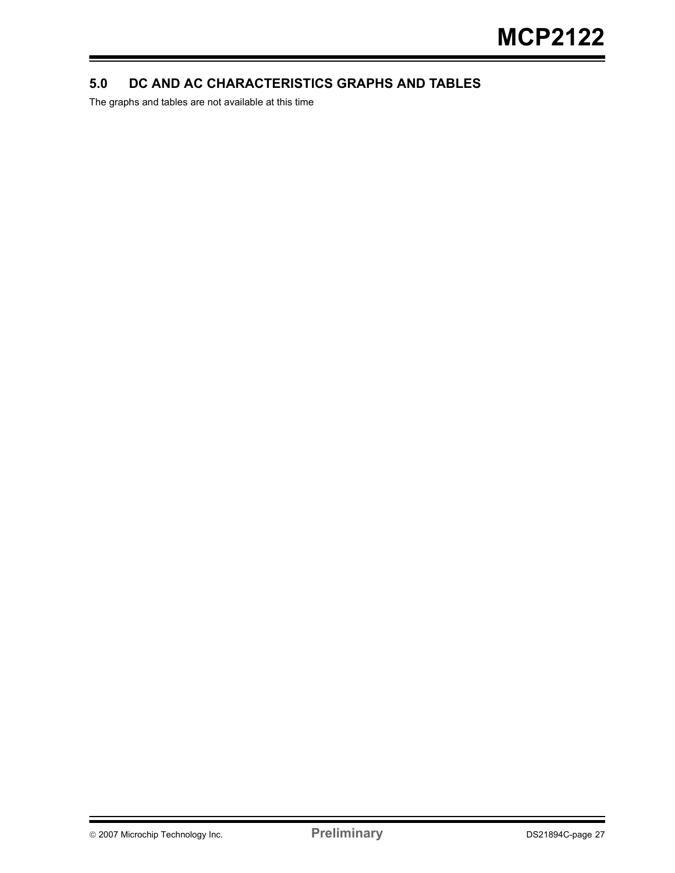# **5.0 DC AND AC CHARACTERISTICS GRAPHS AND TABLES**

The graphs and tables are not available at this time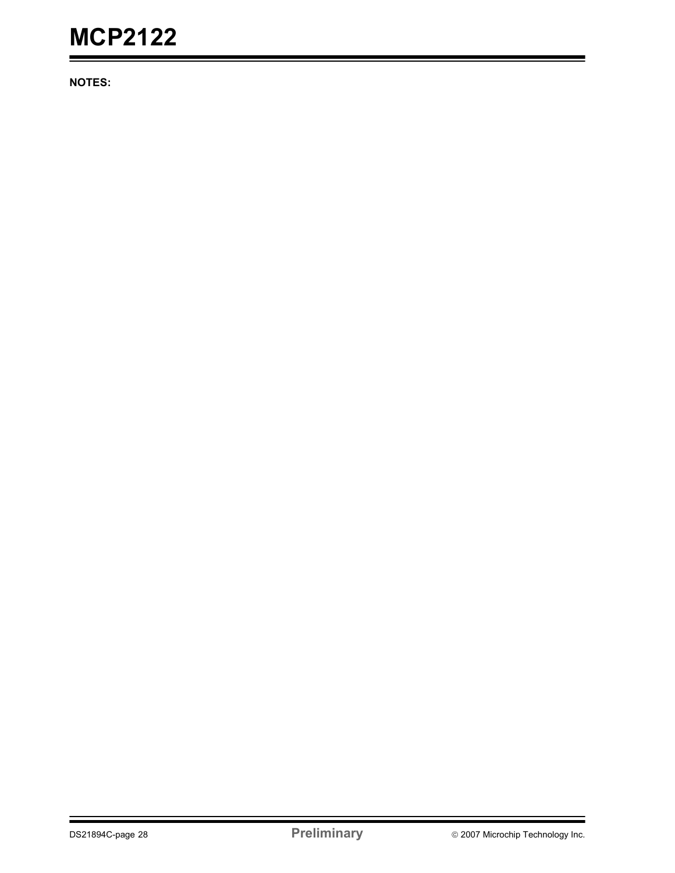**NOTES:**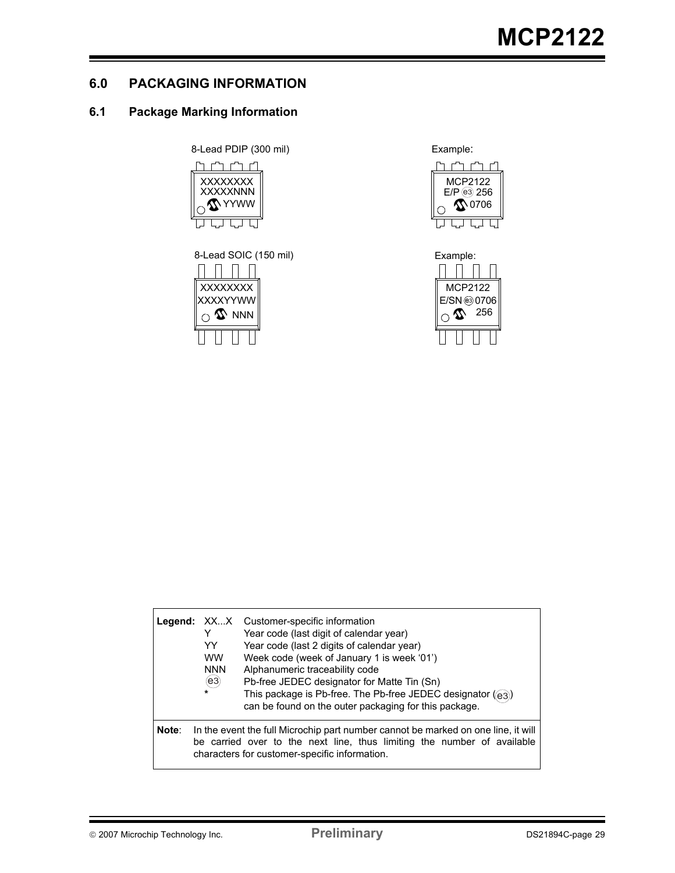# **6.0 PACKAGING INFORMATION**

# **6.1 Package Marking Information**

8-Lead PDIP (300 mil)



8-Lead SOIC (150 mil)

|  | xxxxxxxx<br>xxxxxxxx |  |
|--|----------------------|--|
|  |                      |  |
|  | <b>NNN</b>           |  |
|  |                      |  |

Example:



| Example:                      |
|-------------------------------|
| MCP2122<br>E/SN @ 0706<br>256 |
|                               |

|       | YY<br><b>WW</b><br><b>NNN</b><br>(e3)<br>$\star$ | <b>Legend:</b> XXX Customer-specific information<br>Year code (last digit of calendar year)<br>Year code (last 2 digits of calendar year)<br>Week code (week of January 1 is week '01')<br>Alphanumeric traceability code<br>Pb-free JEDEC designator for Matte Tin (Sn)<br>This package is Pb-free. The Pb-free JEDEC designator (e3)<br>can be found on the outer packaging for this package. |
|-------|--------------------------------------------------|-------------------------------------------------------------------------------------------------------------------------------------------------------------------------------------------------------------------------------------------------------------------------------------------------------------------------------------------------------------------------------------------------|
| Note: |                                                  | In the event the full Microchip part number cannot be marked on one line, it will<br>be carried over to the next line, thus limiting the number of available<br>characters for customer-specific information.                                                                                                                                                                                   |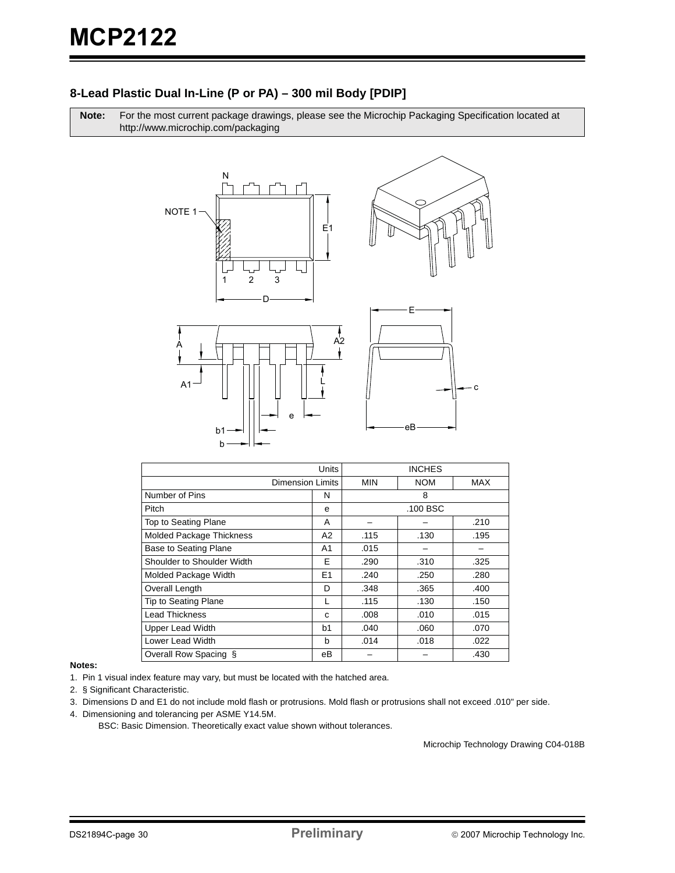# **8-Lead Plastic Dual In-Line (P or PA) – 300 mil Body [PDIP]**

**Note:** For the most current package drawings, please see the Microchip Packaging Specification located at http://www.microchip.com/packaging



|                              | Units                   |            | <b>INCHES</b> |            |  |  |
|------------------------------|-------------------------|------------|---------------|------------|--|--|
|                              | <b>Dimension Limits</b> | <b>MIN</b> | <b>NOM</b>    | <b>MAX</b> |  |  |
| Number of Pins               | N.                      | 8          |               |            |  |  |
| Pitch                        | e                       | .100 BSC   |               |            |  |  |
| Top to Seating Plane         | A                       |            |               | .210       |  |  |
| Molded Package Thickness     | A <sub>2</sub>          | .115       | .130          | .195       |  |  |
| <b>Base to Seating Plane</b> | A1                      | .015       |               |            |  |  |
| Shoulder to Shoulder Width   | E                       | .290       | .310          | .325       |  |  |
| Molded Package Width         | E <sub>1</sub>          | .240       | .250          | .280       |  |  |
| Overall Length               | D                       | .348       | .365          | .400       |  |  |
| Tip to Seating Plane         |                         | .115       | .130          | .150       |  |  |
| <b>Lead Thickness</b>        | C                       | .008       | .010          | .015       |  |  |
| Upper Lead Width             | b1                      | .040       | .060          | .070       |  |  |
| Lower Lead Width             | b                       | .014       | .018          | .022       |  |  |
| Overall Row Spacing §        | eВ                      |            |               | .430       |  |  |

#### **Notes:**

1. Pin 1 visual index feature may vary, but must be located with the hatched area.

2. § Significant Characteristic.

3. Dimensions D and E1 do not include mold flash or protrusions. Mold flash or protrusions shall not exceed .010" per side.

4. Dimensioning and tolerancing per ASME Y14.5M.

BSC: Basic Dimension. Theoretically exact value shown without tolerances.

Microchip Technology Drawing C04-018B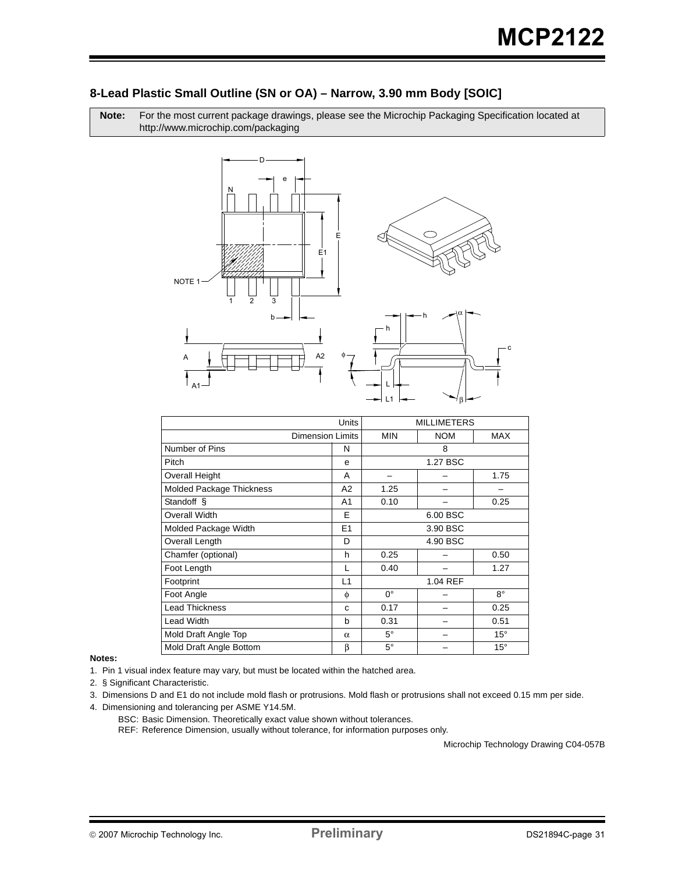# **8-Lead Plastic Small Outline (SN or OA) – Narrow, 3.90 mm Body [SOIC]**

**Note:** For the most current package drawings, please see the Microchip Packaging Specification located at http://www.microchip.com/packaging



|                                 | Units                   | <b>MILLIMETERS</b> |            |              |  |
|---------------------------------|-------------------------|--------------------|------------|--------------|--|
|                                 | <b>Dimension Limits</b> | <b>MIN</b>         | <b>NOM</b> | <b>MAX</b>   |  |
| Number of Pins                  | N                       |                    | 8          |              |  |
| Pitch                           | e                       | 1.27 BSC           |            |              |  |
| Overall Height                  | A                       |                    |            | 1.75         |  |
| <b>Molded Package Thickness</b> | A2                      | 1.25               |            |              |  |
| Standoff §                      | A <sub>1</sub>          | 0.10               |            | 0.25         |  |
| <b>Overall Width</b>            | F                       |                    | 6.00 BSC   |              |  |
| Molded Package Width            | E <sub>1</sub>          | 3.90 BSC           |            |              |  |
| Overall Length                  | D                       | 4.90 BSC           |            |              |  |
| Chamfer (optional)              | h                       | 0.25               |            | 0.50         |  |
| Foot Length                     |                         | 0.40               |            | 1.27         |  |
| Footprint                       | L1                      | 1.04 REF           |            |              |  |
| Foot Angle                      | φ                       | $0^{\circ}$        |            | $8^{\circ}$  |  |
| <b>Lead Thickness</b>           | C                       | 0.17               |            | 0.25         |  |
| <b>Lead Width</b>               | b                       | 0.31               |            | 0.51         |  |
| Mold Draft Angle Top            | $\alpha$                | $5^{\circ}$        |            | $15^{\circ}$ |  |
| Mold Draft Angle Bottom         | β                       | $5^{\circ}$        |            | $15^{\circ}$ |  |

**Notes:**

1. Pin 1 visual index feature may vary, but must be located within the hatched area.

2. § Significant Characteristic.

3. Dimensions D and E1 do not include mold flash or protrusions. Mold flash or protrusions shall not exceed 0.15 mm per side.

4. Dimensioning and tolerancing per ASME Y14.5M.

BSC: Basic Dimension. Theoretically exact value shown without tolerances.

REF: Reference Dimension, usually without tolerance, for information purposes only.

Microchip Technology Drawing C04-057B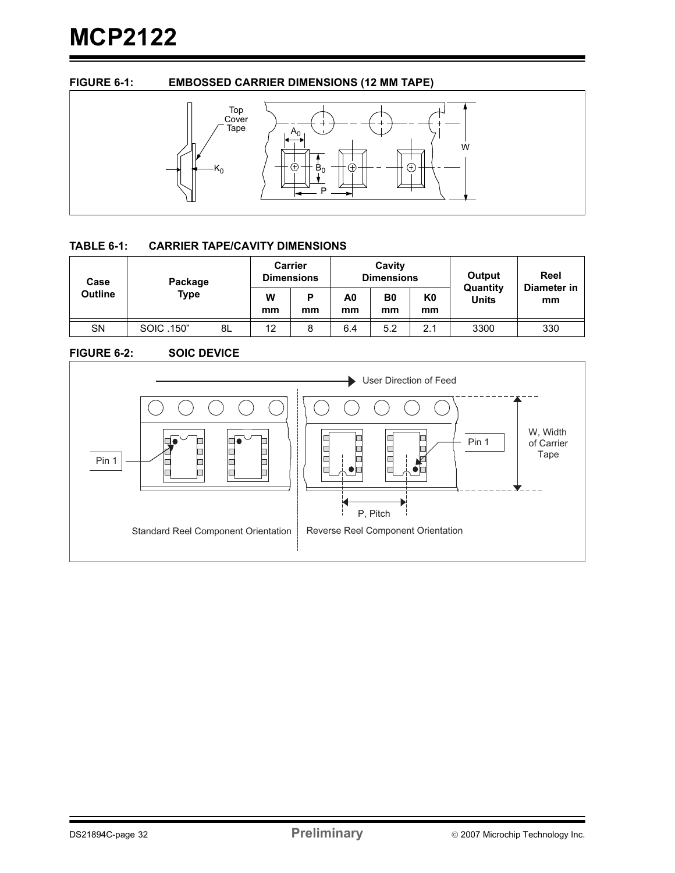# **FIGURE 6-1: EMBOSSED CARRIER DIMENSIONS (12 MM TAPE)**



#### **TABLE 6-1: CARRIER TAPE/CAVITY DIMENSIONS**

| Case           | Package<br><b>Type</b> |    | Carrier<br><b>Dimensions</b> |         | Cavity<br><b>Dimensions</b> |                      |                      | Output                   | Reel<br>Diameter in |
|----------------|------------------------|----|------------------------------|---------|-----------------------------|----------------------|----------------------|--------------------------|---------------------|
| <b>Outline</b> |                        |    | W<br>mm                      | D<br>mm | A <sub>0</sub><br>mm        | B <sub>0</sub><br>mm | K <sub>0</sub><br>mm | Quantity<br><b>Units</b> | mm                  |
| <b>SN</b>      | SOIC .150"             | 8L | 12                           |         | 6.4                         | 5.2                  | 2.1                  | 3300                     | 330                 |

#### **FIGURE 6-2: SOIC DEVICE**

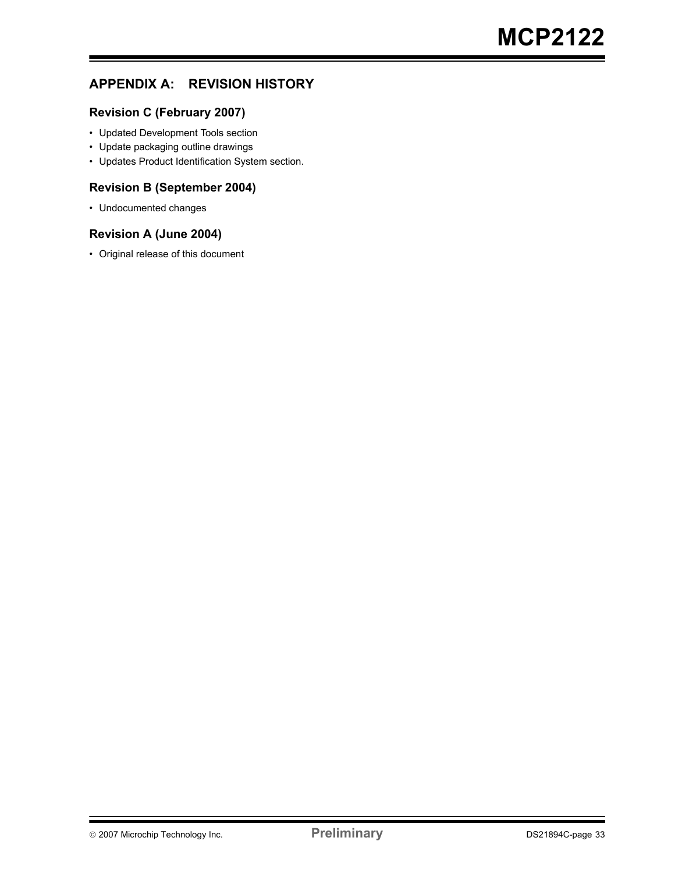# **APPENDIX A: REVISION HISTORY**

# **Revision C (February 2007)**

- Updated Development Tools section
- Update packaging outline drawings
- Updates Product Identification System section.

# **Revision B (September 2004)**

• Undocumented changes

# **Revision A (June 2004)**

• Original release of this document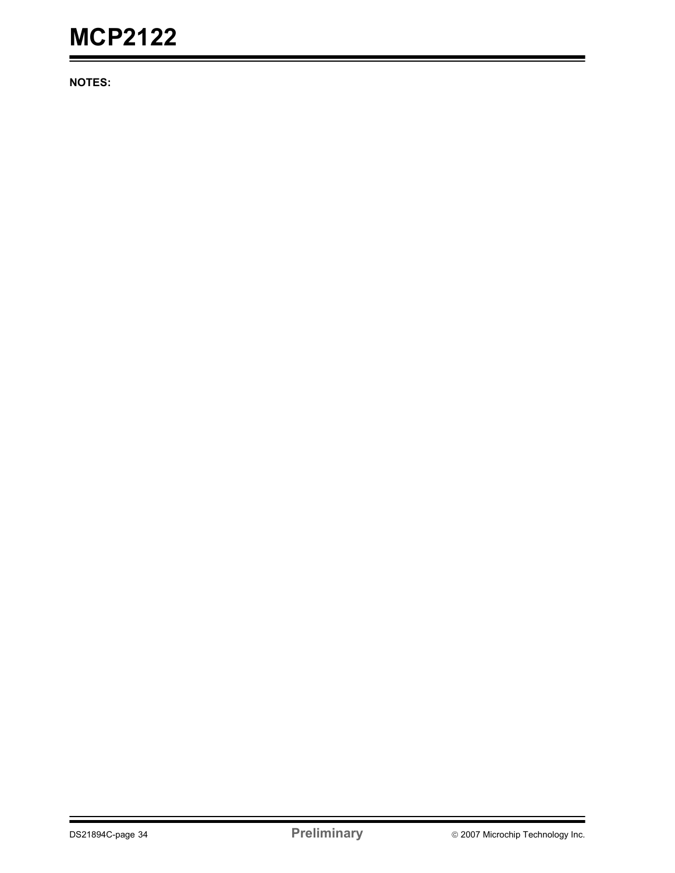**NOTES:**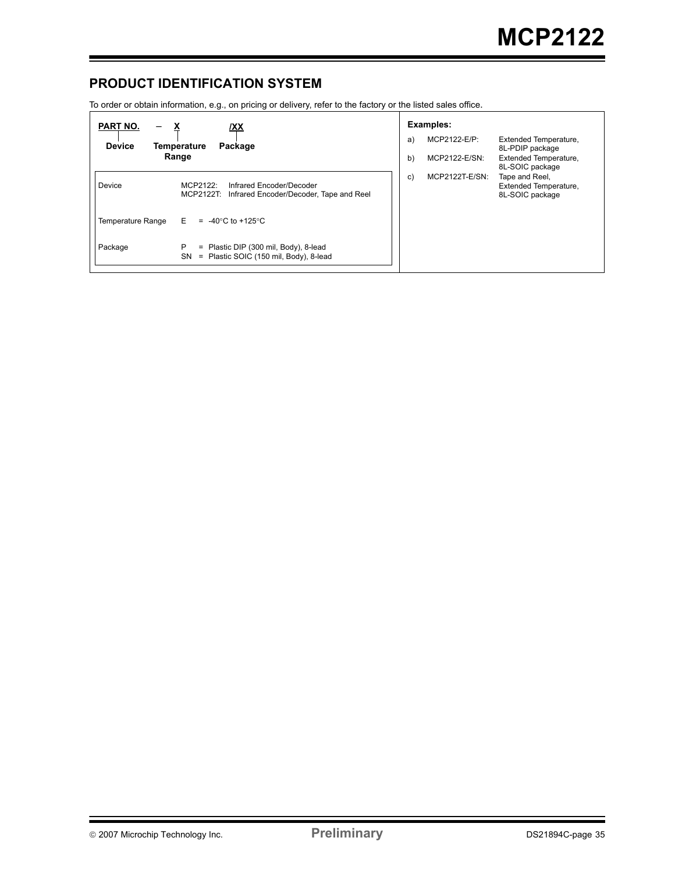# **PRODUCT IDENTIFICATION SYSTEM**

To order or obtain information, e.g., on pricing or delivery, refer to the factory or the listed sales office.

| <b>PART NO.</b><br>ľЖ |                                                                                                        | Examples: |                |                                                                   |  |  |
|-----------------------|--------------------------------------------------------------------------------------------------------|-----------|----------------|-------------------------------------------------------------------|--|--|
| <b>Device</b>         | Temperature<br>Package                                                                                 | a)        | MCP2122-E/P:   | Extended Temperature,<br>8L-PDIP package                          |  |  |
|                       | Range                                                                                                  | b)        | MCP2122-E/SN:  | <b>Extended Temperature,</b><br>8L-SOIC package                   |  |  |
| Device                | MCP2122:<br>Infrared Encoder/Decoder<br>MCP2122T: Infrared Encoder/Decoder, Tape and Reel              | C)        | MCP2122T-E/SN: | Tape and Reel,<br><b>Extended Temperature,</b><br>8L-SOIC package |  |  |
| Temperature Range     | $= -40^{\circ}$ C to +125 $^{\circ}$ C<br>F.                                                           |           |                |                                                                   |  |  |
| Package               | P<br>= Plastic DIP (300 mil, Body), 8-lead<br>Plastic SOIC (150 mil, Body), 8-lead<br><b>SN</b><br>$=$ |           |                |                                                                   |  |  |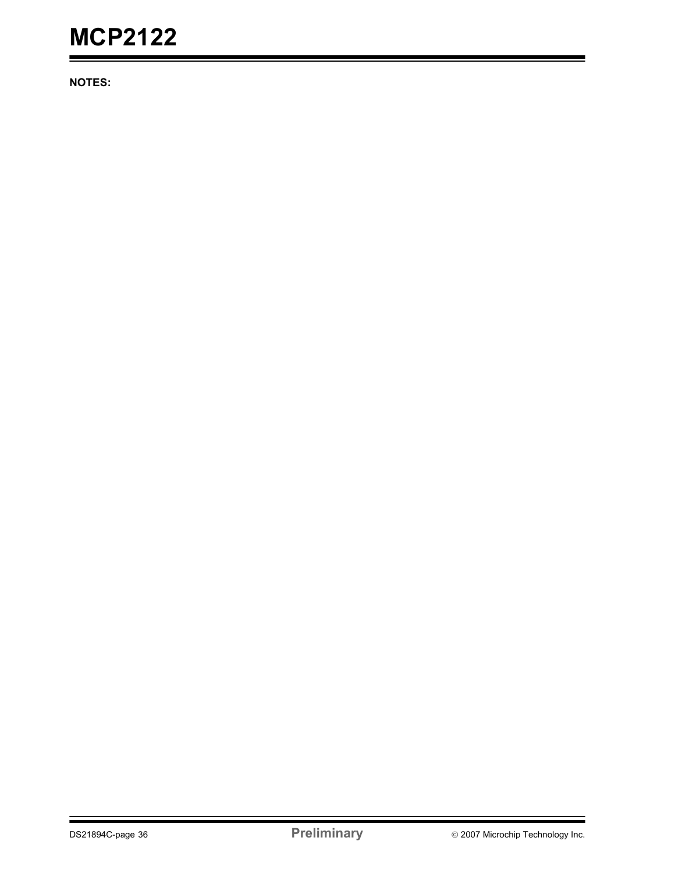**NOTES:**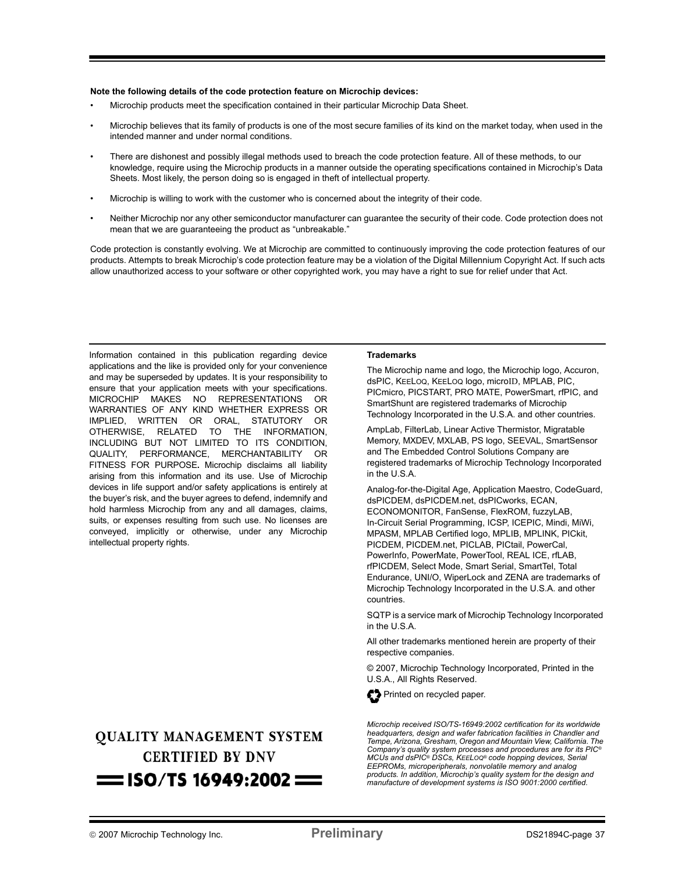#### **Note the following details of the code protection feature on Microchip devices:**

- Microchip products meet the specification contained in their particular Microchip Data Sheet.
- Microchip believes that its family of products is one of the most secure families of its kind on the market today, when used in the intended manner and under normal conditions.
- There are dishonest and possibly illegal methods used to breach the code protection feature. All of these methods, to our knowledge, require using the Microchip products in a manner outside the operating specifications contained in Microchip's Data Sheets. Most likely, the person doing so is engaged in theft of intellectual property.
- Microchip is willing to work with the customer who is concerned about the integrity of their code.
- Neither Microchip nor any other semiconductor manufacturer can guarantee the security of their code. Code protection does not mean that we are guaranteeing the product as "unbreakable."

Code protection is constantly evolving. We at Microchip are committed to continuously improving the code protection features of our products. Attempts to break Microchip's code protection feature may be a violation of the Digital Millennium Copyright Act. If such acts allow unauthorized access to your software or other copyrighted work, you may have a right to sue for relief under that Act.

Information contained in this publication regarding device applications and the like is provided only for your convenience and may be superseded by updates. It is your responsibility to ensure that your application meets with your specifications. MICROCHIP MAKES NO REPRESENTATIONS OR WARRANTIES OF ANY KIND WHETHER EXPRESS OR IMPLIED, WRITTEN OR ORAL, STATUTORY OR OTHERWISE, RELATED TO THE INFORMATION, INCLUDING BUT NOT LIMITED TO ITS CONDITION, QUALITY, PERFORMANCE, MERCHANTABILITY OR FITNESS FOR PURPOSE**.** Microchip disclaims all liability arising from this information and its use. Use of Microchip devices in life support and/or safety applications is entirely at the buyer's risk, and the buyer agrees to defend, indemnify and hold harmless Microchip from any and all damages, claims, suits, or expenses resulting from such use. No licenses are conveyed, implicitly or otherwise, under any Microchip intellectual property rights.

# **OUALITY MANAGEMENT SYSTEM CERTIFIED BY DNV**  $=$  ISO/TS 16949:2002  $=$

#### **Trademarks**

The Microchip name and logo, the Microchip logo, Accuron, dsPIC, KEELOQ, KEELOQ logo, microID, MPLAB, PIC, PICmicro, PICSTART, PRO MATE, PowerSmart, rfPIC, and SmartShunt are registered trademarks of Microchip Technology Incorporated in the U.S.A. and other countries.

AmpLab, FilterLab, Linear Active Thermistor, Migratable Memory, MXDEV, MXLAB, PS logo, SEEVAL, SmartSensor and The Embedded Control Solutions Company are registered trademarks of Microchip Technology Incorporated in the U.S.A.

Analog-for-the-Digital Age, Application Maestro, CodeGuard, dsPICDEM, dsPICDEM.net, dsPICworks, ECAN, ECONOMONITOR, FanSense, FlexROM, fuzzyLAB, In-Circuit Serial Programming, ICSP, ICEPIC, Mindi, MiWi, MPASM, MPLAB Certified logo, MPLIB, MPLINK, PICkit, PICDEM, PICDEM.net, PICLAB, PICtail, PowerCal, PowerInfo, PowerMate, PowerTool, REAL ICE, rfLAB, rfPICDEM, Select Mode, Smart Serial, SmartTel, Total Endurance, UNI/O, WiperLock and ZENA are trademarks of Microchip Technology Incorporated in the U.S.A. and other countries.

SQTP is a service mark of Microchip Technology Incorporated in the U.S.A.

All other trademarks mentioned herein are property of their respective companies.

© 2007, Microchip Technology Incorporated, Printed in the U.S.A., All Rights Reserved.



Printed on recycled paper.

*Microchip received ISO/TS-16949:2002 certification for its worldwide headquarters, design and wafer fabrication facilities in Chandler and Tempe, Arizona, Gresham, Oregon and Mountain View, California. The Company's quality system processes and procedures are for its PIC® MCUs and dsPIC® DSCs, KEELOQ® code hopping devices, Serial EEPROMs, microperipherals, nonvolatile memory and analog products. In addition, Microchip's quality system for the design and manufacture of development systems is ISO 9001:2000 certified.*